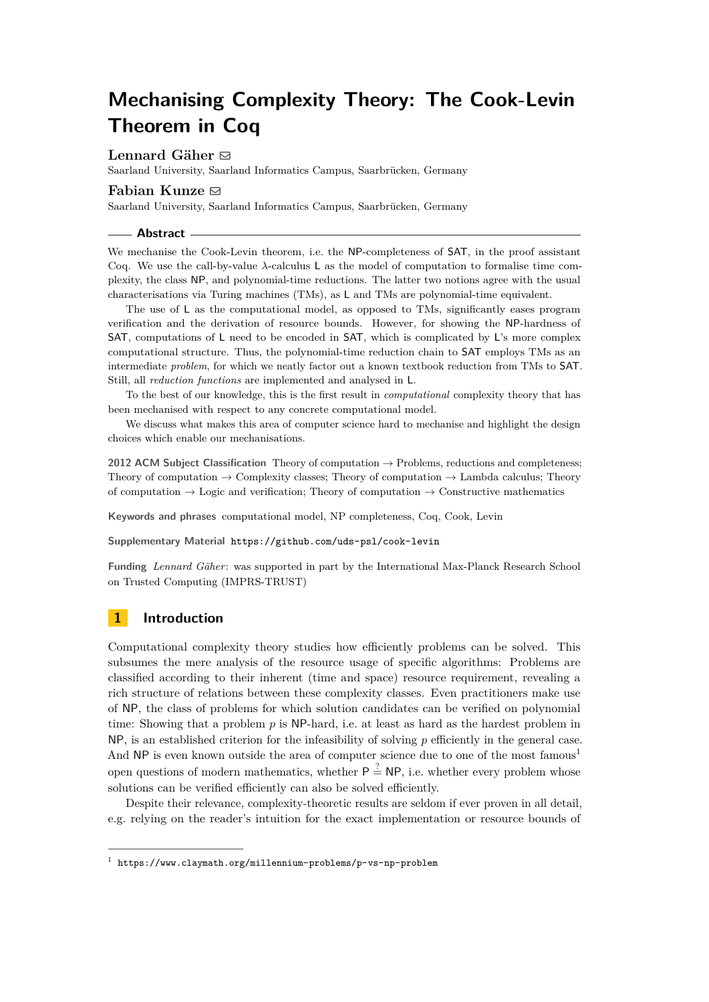# **Lennard Gäher** [!](mailto:s8legaeh@stud.uni-saarland.de)

Saarland University, Saarland Informatics Campus, Saarbrücken, Germany

## **Fabian Kunze** [!](mailto:fabian.kunze@cs.uni-saarland.de)

Saarland University, Saarland Informatics Campus, Saarbrücken, Germany

#### **Abstract**

We mechanise the Cook-Levin theorem, i.e. the NP-completeness of SAT, in the proof assistant Coq. We use the call-by-value *λ*-calculus L as the model of computation to formalise time complexity, the class NP, and polynomial-time reductions. The latter two notions agree with the usual characterisations via Turing machines (TMs), as L and TMs are polynomial-time equivalent.

The use of L as the computational model, as opposed to TMs, significantly eases program verification and the derivation of resource bounds. However, for showing the NP-hardness of SAT, computations of L need to be encoded in SAT, which is complicated by L's more complex computational structure. Thus, the polynomial-time reduction chain to SAT employs TMs as an intermediate *problem*, for which we neatly factor out a known textbook reduction from TMs to SAT. Still, all *reduction functions* are implemented and analysed in L.

To the best of our knowledge, this is the first result in *computational* complexity theory that has been mechanised with respect to any concrete computational model.

We discuss what makes this area of computer science hard to mechanise and highlight the design choices which enable our mechanisations.

**2012 ACM Subject Classification** Theory of computation → Problems, reductions and completeness; Theory of computation  $\rightarrow$  Complexity classes; Theory of computation  $\rightarrow$  Lambda calculus; Theory of computation  $\rightarrow$  Logic and verification; Theory of computation  $\rightarrow$  Constructive mathematics

**Keywords and phrases** computational model, NP completeness, Coq, Cook, Levin

**Supplementary Material** <https://github.com/uds-psl/cook-levin>

**Funding** *Lennard Gäher*: was supported in part by the International Max-Planck Research School on Trusted Computing (IMPRS-TRUST)

# **1 Introduction**

Computational complexity theory studies how efficiently problems can be solved. This subsumes the mere analysis of the resource usage of specific algorithms: Problems are classified according to their inherent (time and space) resource requirement, revealing a rich structure of relations between these complexity classes. Even practitioners make use of NP, the class of problems for which solution candidates can be verified on polynomial time: Showing that a problem *p* is NP-hard, i.e. at least as hard as the hardest problem in NP, is an established criterion for the infeasibility of solving *p* efficiently in the general case. And NP is even known outside the area of computer science due to one of the most famous<sup>[1](#page-0-0)</sup> open questions of modern mathematics, whether  $P \stackrel{?}{=} NP$ , i.e. whether every problem whose solutions can be verified efficiently can also be solved efficiently.

Despite their relevance, complexity-theoretic results are seldom if ever proven in all detail, e.g. relying on the reader's intuition for the exact implementation or resource bounds of

<span id="page-0-0"></span><sup>1</sup> <https://www.claymath.org/millennium-problems/p-vs-np-problem>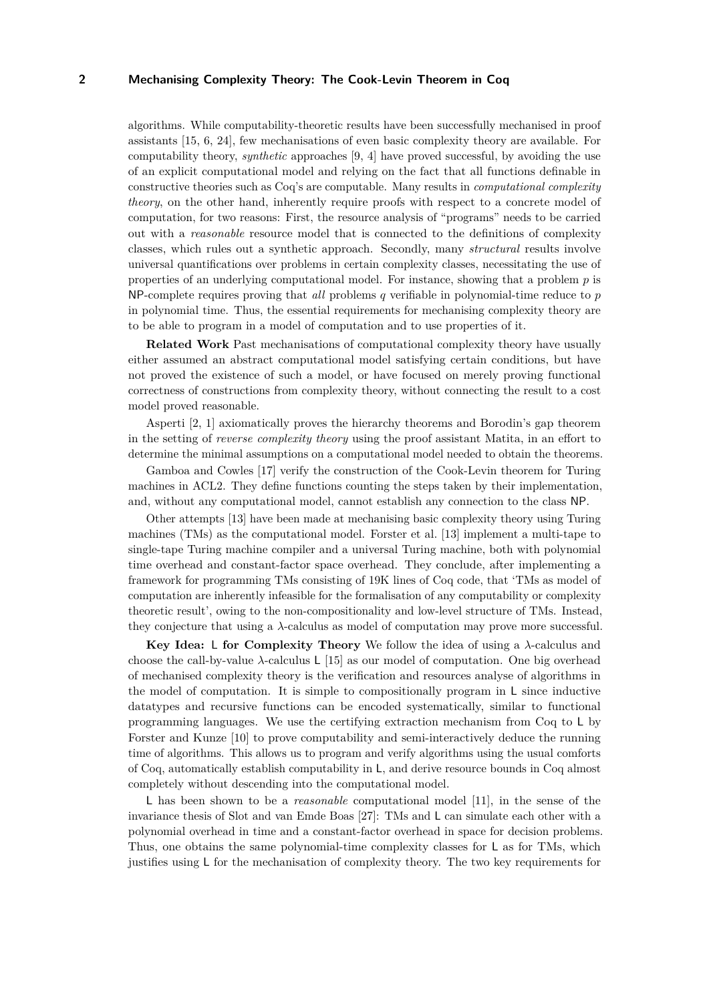algorithms. While computability-theoretic results have been successfully mechanised in proof assistants [\[15,](#page-16-0) [6,](#page-16-1) [24\]](#page-17-0), few mechanisations of even basic complexity theory are available. For computability theory, *synthetic* approaches [\[9,](#page-16-2) [4\]](#page-16-3) have proved successful, by avoiding the use of an explicit computational model and relying on the fact that all functions definable in constructive theories such as Coq's are computable. Many results in *computational complexity theory*, on the other hand, inherently require proofs with respect to a concrete model of computation, for two reasons: First, the resource analysis of "programs" needs to be carried out with a *reasonable* resource model that is connected to the definitions of complexity classes, which rules out a synthetic approach. Secondly, many *structural* results involve universal quantifications over problems in certain complexity classes, necessitating the use of properties of an underlying computational model. For instance, showing that a problem *p* is NP-complete requires proving that *all* problems *q* verifiable in polynomial-time reduce to *p* in polynomial time. Thus, the essential requirements for mechanising complexity theory are to be able to program in a model of computation and to use properties of it.

**Related Work** Past mechanisations of computational complexity theory have usually either assumed an abstract computational model satisfying certain conditions, but have not proved the existence of such a model, or have focused on merely proving functional correctness of constructions from complexity theory, without connecting the result to a cost model proved reasonable.

Asperti [\[2,](#page-16-4) [1\]](#page-16-5) axiomatically proves the hierarchy theorems and Borodin's gap theorem in the setting of *reverse complexity theory* using the proof assistant Matita, in an effort to determine the minimal assumptions on a computational model needed to obtain the theorems.

Gamboa and Cowles [\[17\]](#page-17-1) verify the construction of the Cook-Levin theorem for Turing machines in ACL2. They define functions counting the steps taken by their implementation, and, without any computational model, cannot establish any connection to the class NP.

Other attempts [\[13\]](#page-16-6) have been made at mechanising basic complexity theory using Turing machines (TMs) as the computational model. Forster et al. [\[13\]](#page-16-6) implement a multi-tape to single-tape Turing machine compiler and a universal Turing machine, both with polynomial time overhead and constant-factor space overhead. They conclude, after implementing a framework for programming TMs consisting of 19K lines of Coq code, that 'TMs as model of computation are inherently infeasible for the formalisation of any computability or complexity theoretic result', owing to the non-compositionality and low-level structure of TMs. Instead, they conjecture that using a *λ*-calculus as model of computation may prove more successful.

**Key Idea:** L **for Complexity Theory** We follow the idea of using a *λ*-calculus and choose the call-by-value  $\lambda$ -calculus L [\[15\]](#page-16-0) as our model of computation. One big overhead of mechanised complexity theory is the verification and resources analyse of algorithms in the model of computation. It is simple to compositionally program in L since inductive datatypes and recursive functions can be encoded systematically, similar to functional programming languages. We use the certifying extraction mechanism from Coq to L by Forster and Kunze [\[10\]](#page-16-7) to prove computability and semi-interactively deduce the running time of algorithms. This allows us to program and verify algorithms using the usual comforts of Coq, automatically establish computability in L, and derive resource bounds in Coq almost completely without descending into the computational model.

L has been shown to be a *reasonable* computational model [\[11\]](#page-16-8), in the sense of the invariance thesis of Slot and van Emde Boas [\[27\]](#page-17-2): TMs and L can simulate each other with a polynomial overhead in time and a constant-factor overhead in space for decision problems. Thus, one obtains the same polynomial-time complexity classes for L as for TMs, which justifies using L for the mechanisation of complexity theory. The two key requirements for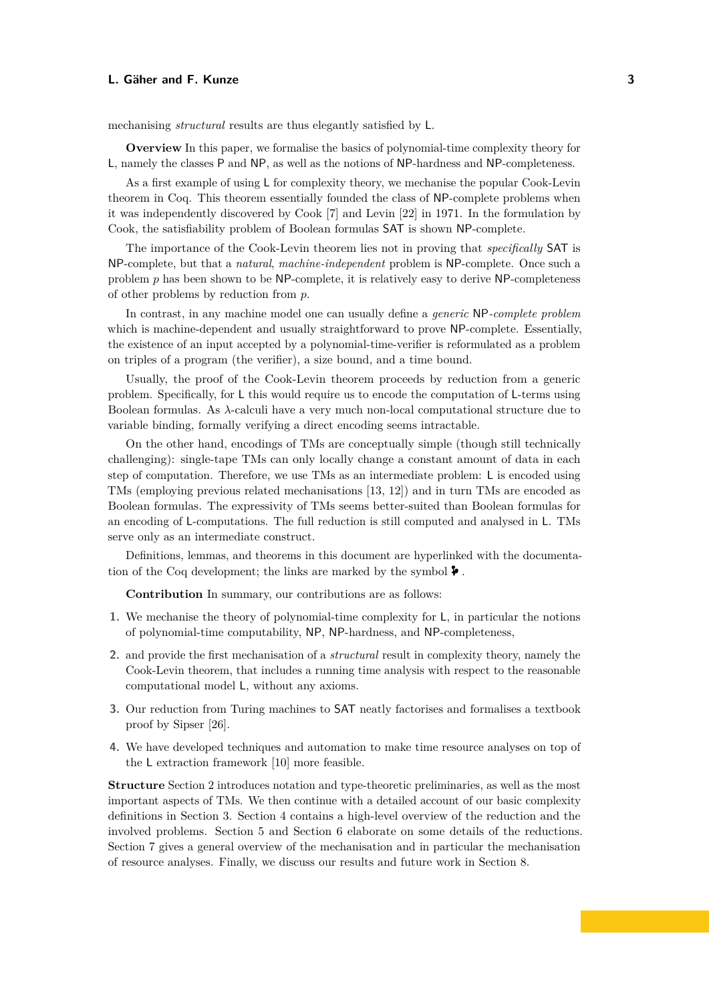mechanising *structural* results are thus elegantly satisfied by L.

**Overview** In this paper, we formalise the basics of polynomial-time complexity theory for L, namely the classes P and NP, as well as the notions of NP-hardness and NP-completeness.

As a first example of using L for complexity theory, we mechanise the popular Cook-Levin theorem in Coq. This theorem essentially founded the class of NP-complete problems when it was independently discovered by Cook [\[7\]](#page-16-9) and Levin [\[22\]](#page-17-3) in 1971. In the formulation by Cook, the satisfiability problem of Boolean formulas SAT is shown NP-complete.

The importance of the Cook-Levin theorem lies not in proving that *specifically* SAT is NP-complete, but that a *natural*, *machine-independent* problem is NP-complete. Once such a problem *p* has been shown to be NP-complete, it is relatively easy to derive NP-completeness of other problems by reduction from *p*.

In contrast, in any machine model one can usually define a *generic* NP*-complete problem* which is machine-dependent and usually straightforward to prove NP-complete. Essentially, the existence of an input accepted by a polynomial-time-verifier is reformulated as a problem on triples of a program (the verifier), a size bound, and a time bound.

Usually, the proof of the Cook-Levin theorem proceeds by reduction from a generic problem. Specifically, for L this would require us to encode the computation of L-terms using Boolean formulas. As *λ*-calculi have a very much non-local computational structure due to variable binding, formally verifying a direct encoding seems intractable.

On the other hand, encodings of TMs are conceptually simple (though still technically challenging): single-tape TMs can only locally change a constant amount of data in each step of computation. Therefore, we use TMs as an intermediate problem: L is encoded using TMs (employing previous related mechanisations [\[13,](#page-16-6) [12\]](#page-16-10)) and in turn TMs are encoded as Boolean formulas. The expressivity of TMs seems better-suited than Boolean formulas for an encoding of L-computations. The full reduction is still computed and analysed in L. TMs serve only as an intermediate construct.

Definitions, lemmas, and theorems in this document are hyperlinked with the documentation of the Coq development; the links are marked by the symbol  $\blacktriangleright$ .

**Contribution** In summary, our contributions are as follows:

- **1.** We mechanise the theory of polynomial-time complexity for L, in particular the notions of polynomial-time computability, NP, NP-hardness, and NP-completeness,
- **2.** and provide the first mechanisation of a *structural* result in complexity theory, namely the Cook-Levin theorem, that includes a running time analysis with respect to the reasonable computational model L, without any axioms.
- **3.** Our reduction from Turing machines to SAT neatly factorises and formalises a textbook proof by Sipser [\[26\]](#page-17-4).
- **4.** We have developed techniques and automation to make time resource analyses on top of the L extraction framework [\[10\]](#page-16-7) more feasible.

**Structure** Section [2](#page-3-0) introduces notation and type-theoretic preliminaries, as well as the most important aspects of TMs. We then continue with a detailed account of our basic complexity definitions in Section [3.](#page-3-1) Section [4](#page-5-0) contains a high-level overview of the reduction and the involved problems. Section [5](#page-7-0) and Section [6](#page-9-0) elaborate on some details of the reductions. Section [7](#page-13-0) gives a general overview of the mechanisation and in particular the mechanisation of resource analyses. Finally, we discuss our results and future work in Section [8.](#page-15-0)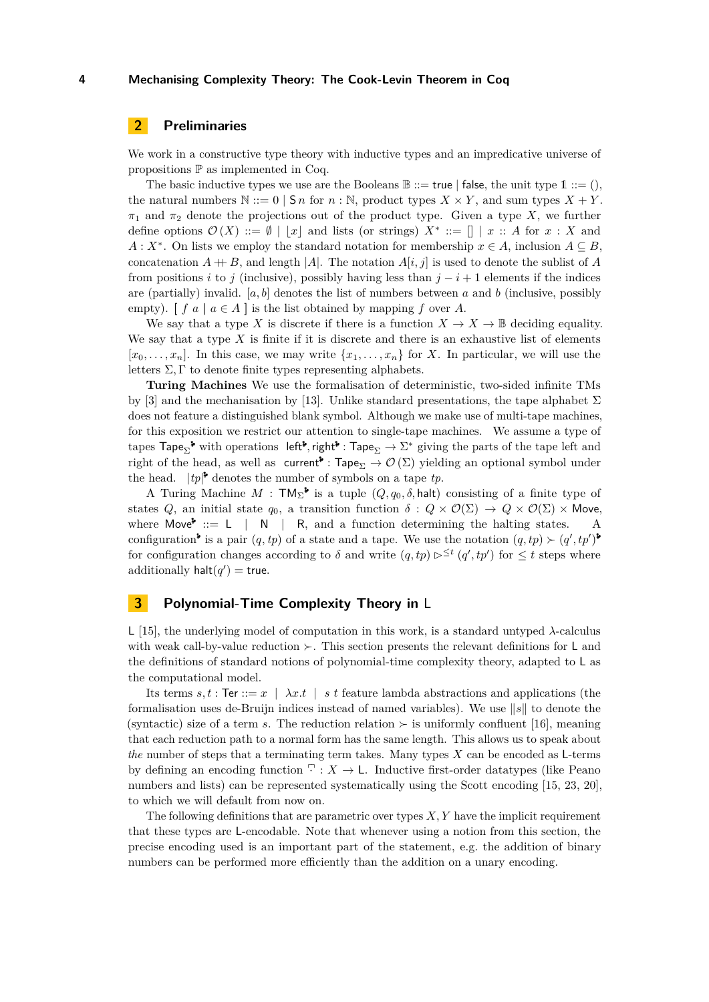# <span id="page-3-0"></span>**2 Preliminaries**

We work in a constructive type theory with inductive types and an impredicative universe of propositions P as implemented in Coq.

The basic inductive types we use are the Booleans  $\mathbb{B} ::=$  true | false, the unit type  $\mathbb{1} ::= ()$ , the natural numbers  $\mathbb{N} ::= 0 | S_n$  for  $n : \mathbb{N}$ , product types  $X \times Y$ , and sum types  $X + Y$ .  $\pi_1$  and  $\pi_2$  denote the projections out of the product type. Given a type *X*, we further define options  $\mathcal{O}(X) ::= \emptyset | [x]$  and lists (or strings)  $X^* ::= [] | x :: A$  for  $x : X$  and *A* : *X*<sup>∗</sup>. On lists we employ the standard notation for membership *x* ∈ *A*, inclusion  $A \subseteq B$ , concatenation  $A + B$ , and length |*A*|. The notation  $A[i, j]$  is used to denote the sublist of *A* from positions *i* to *j* (inclusive), possibly having less than  $j - i + 1$  elements if the indices are (partially) invalid. [*a, b*] denotes the list of numbers between *a* and *b* (inclusive, possibly empty).  $\begin{bmatrix} f & a \end{bmatrix} a \in A$  is the list obtained by mapping  $f$  over  $A$ .

We say that a type X is discrete if there is a function  $X \to X \to \mathbb{B}$  deciding equality. We say that a type  $X$  is finite if it is discrete and there is an exhaustive list of elements  $[x_0, \ldots, x_n]$ . In this case, we may write  $\{x_1, \ldots, x_n\}$  for *X*. In particular, we will use the letters  $\Sigma$ ,  $\Gamma$  to denote finite types representing alphabets.

**Turing Machines** We use the formalisation of deterministic, two-sided infinite TMs by [\[3\]](#page-16-11) and the mechanisation by [\[13\]](#page-16-6). Unlike standard presentations, the tape alphabet  $\Sigma$ does not feature a distinguished blank symbol. Although we make use of multi-tape machines, for this exposition we restrict our attention to single-tape machines. We assume a type of tapes  $\mathsf{Tape}_\Sigma$  $\mathsf{Tape}_\Sigma$  $\mathsf{Tape}_\Sigma$  with operations  $\mathsf{left}^\bullet, \mathsf{right}^\bullet : \mathsf{Tape}_\Sigma \to \Sigma^*$  $\mathsf{left}^\bullet, \mathsf{right}^\bullet : \mathsf{Tape}_\Sigma \to \Sigma^*$  $\mathsf{left}^\bullet, \mathsf{right}^\bullet : \mathsf{Tape}_\Sigma \to \Sigma^*$  $\mathsf{left}^\bullet, \mathsf{right}^\bullet : \mathsf{Tape}_\Sigma \to \Sigma^*$  $\mathsf{left}^\bullet, \mathsf{right}^\bullet : \mathsf{Tape}_\Sigma \to \Sigma^*$  giving the parts of the tape left and right of the head, as well as [current](https://uds-psl.github.io/cook-levin/website/Undecidability.TM.TM.html#current)<sup>\*</sup>:  $\text{Tape}_{\Sigma} \to \mathcal{O}(\Sigma)$  yielding an optional symbol under the head.  $|tp|^{\bullet}$  $|tp|^{\bullet}$  $|tp|^{\bullet}$  denotes the number of symbols on a tape *tp*.

A Turing Machine  $M$ :  $TM_{\Sigma}^{\bullet}$  $TM_{\Sigma}^{\bullet}$  is a tuple  $(Q, q_0, \delta, \text{halt})$  consisting of a finite type of states *Q*, an initial state  $q_0$ , a transition function  $\delta: Q \times \mathcal{O}(\Sigma) \to Q \times \mathcal{O}(\Sigma) \times$  Move, where [Move](https://uds-psl.github.io/cook-levin/website/Undecidability.TM.TM.html#move)<sup>\*</sup> ::= L | N | R, and a function determining the halting states. A [configuration](https://uds-psl.github.io/cook-levin/website/Complexity.NP.SAT.CookLevin.Subproblems.TM_single.html#sconfig)<sup>\*</sup> is a pair  $(q, tp)$  $(q, tp)$  $(q, tp)$  of a state and a tape. We use the notation  $(q, tp) \succ (q', tp')$ for configuration changes according to  $\delta$  and write  $(q, tp) \triangleright^{ \leq t} (q', tp')$  for  $\leq t$  steps where additionally  $\mathsf{halt}(q') = \mathsf{true}.$ 

## <span id="page-3-1"></span>**3 Polynomial-Time Complexity Theory in** L

L [\[15\]](#page-16-0), the underlying model of computation in this work, is a standard untyped *λ*-calculus with weak call-by-value reduction ≻. This section presents the relevant definitions for L and the definitions of standard notions of polynomial-time complexity theory, adapted to L as the computational model.

Its terms  $s, t$ : Ter ::=  $x \mid \lambda x. t \mid s \ t$  feature lambda abstractions and applications (the formalisation uses de-Bruijn indices instead of named variables). We use ∥*s*∥ to denote the (syntactic) size of a term *s*. The reduction relation  $\succ$  is uniformly confluent [\[16\]](#page-16-12), meaning that each reduction path to a normal form has the same length. This allows us to speak about *the* number of steps that a terminating term takes. Many types *X* can be encoded as L-terms by defining an encoding function  $\Gamma: X \to \mathsf{L}$ . Inductive first-order datatypes (like Peano numbers and lists) can be represented systematically using the Scott encoding [\[15,](#page-16-0) [23,](#page-17-5) [20\]](#page-17-6), to which we will default from now on.

The following definitions that are parametric over types *X, Y* have the implicit requirement that these types are L-encodable. Note that whenever using a notion from this section, the precise encoding used is an important part of the statement, e.g. the addition of binary numbers can be performed more efficiently than the addition on a unary encoding.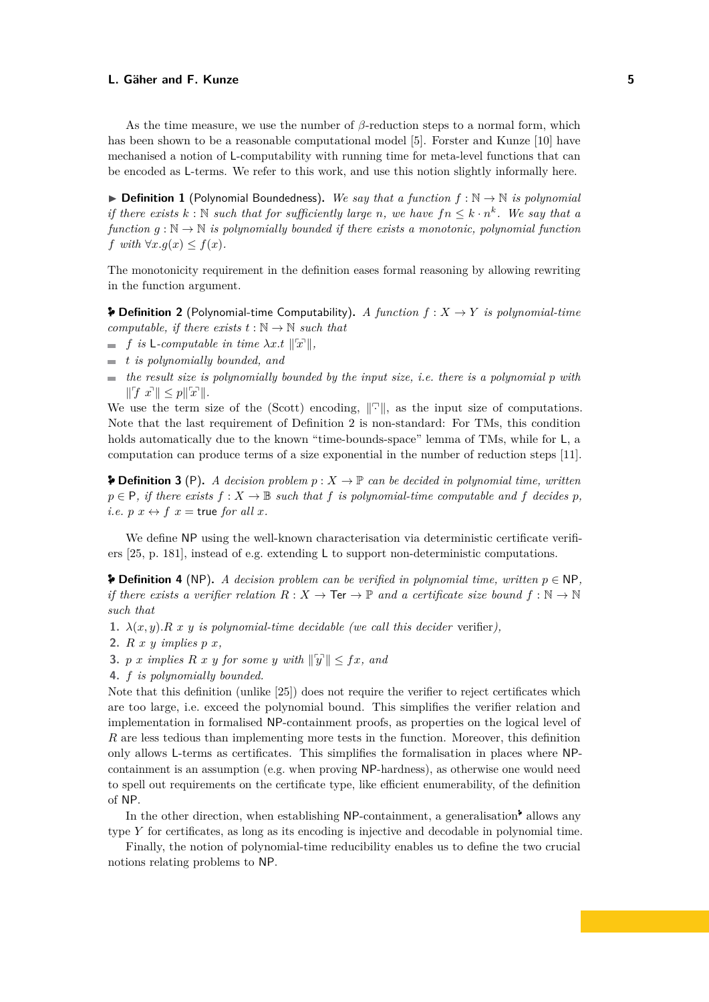As the time measure, we use the number of *β*-reduction steps to a normal form, which has been shown to be a reasonable computational model [\[5\]](#page-16-13). Forster and Kunze [\[10\]](#page-16-7) have mechanised a notion of L-computability with running time for meta-level functions that can be encoded as L-terms. We refer to this work, and use this notion slightly informally here.

▶ **Definition 1** (Polynomial Boundedness)**.** *We say that a function f* : N → N *is polynomial if there exists*  $k : \mathbb{N}$  *such that for sufficiently large n, we have*  $fn \leq k \cdot n^k$ . We say that a *function*  $q : \mathbb{N} \to \mathbb{N}$  *is polynomially bounded if there exists a monotonic, polynomial function f with*  $\forall x. g(x) \leq f(x)$ *.* 

The monotonicity requirement in the definition eases formal reasoning by allowing rewriting in the function argument.

<span id="page-4-0"></span>**P** [Definition 2](https://uds-psl.github.io/cook-levin/website/Complexity.Complexity.Definitions.html#polyTimeComputable) (Polynomial-time Computability). *A function*  $f: X \rightarrow Y$  *is polynomial-time computable, if there exists*  $t : \mathbb{N} \to \mathbb{N}$  *such that* 

- $f$  *is*  $\textsf{L-computable}$  *in time*  $\lambda x.t$   $\|\bar{x}\|$ ,
- *t is polynomially bounded, and*
- *the result size is polynomially bounded by the input size, i.e. there is a polynomial p with*  $\sim$  $||[f \ x^{\rceil}|| \leq p||[x^{\rceil}]].$

We use the term size of the (Scott) encoding,  $\|\cdot\|$ , as the input size of computations. Note that the last requirement of Definition [2](#page-4-0) is non-standard: For TMs, this condition holds automatically due to the known "time-bounds-space" lemma of TMs, while for L, a computation can produce terms of a size exponential in the number of reduction steps [\[11\]](#page-16-8).

**P** [Definition 3](https://uds-psl.github.io/cook-levin/website/Complexity.Complexity.NP.html#inP) (P). A decision problem  $p: X \to \mathbb{P}$  can be decided in polynomial time, written  $p \in \mathsf{P}$ , if there exists  $f: X \to \mathbb{B}$  such that f is polynomial-time computable and f decides p. *i.e.*  $p \ x \leftrightarrow f \ x = \text{true} \ for \ all \ x.$ 

We define NP using the well-known characterisation via deterministic certificate verifiers [\[25,](#page-17-7) p. 181], instead of e.g. extending L to support non-deterministic computations.

**P** [Definition 4](https://uds-psl.github.io/cook-levin/website/Complexity.Complexity.NP.html#inNP) (NP). A decision problem can be verified in polynomial time, written  $p \in \mathbb{NP}$ , *if there exists a verifier relation*  $R: X \to \text{Ter} \to \mathbb{P}$  and a certificate size bound  $f: \mathbb{N} \to \mathbb{N}$ *such that*

- **1.**  $\lambda(x, y) \cdot R \cdot x \cdot y$  *is polynomial-time decidable (we call this decider verifier),*
- **2.** *R x y implies p x,*
- **3.** *p x implies*  $R$  *x y for some y with*  $||\overline{y}|| \leq fx$ *, and*
- **4.** *f is polynomially bounded.*

Note that this definition (unlike [\[25\]](#page-17-7)) does not require the verifier to reject certificates which are too large, i.e. exceed the polynomial bound. This simplifies the verifier relation and implementation in formalised NP-containment proofs, as properties on the logical level of *R* are less tedious than implementing more tests in the function. Moreover, this definition only allows L-terms as certificates. This simplifies the formalisation in places where NPcontainment is an assumption (e.g. when proving NP-hardness), as otherwise one would need to spell out requirements on the certificate type, like efficient enumerability, of the definition of NP.

In the other direction, when establishing  $NP$ -containment, a [generalisation](https://uds-psl.github.io/cook-levin/website/Complexity.Complexity.NP.html#inNP_intro)<sup>\*</sup> allows any type *Y* for certificates, as long as its encoding is injective and decodable in polynomial time.

Finally, the notion of polynomial-time reducibility enables us to define the two crucial notions relating problems to NP.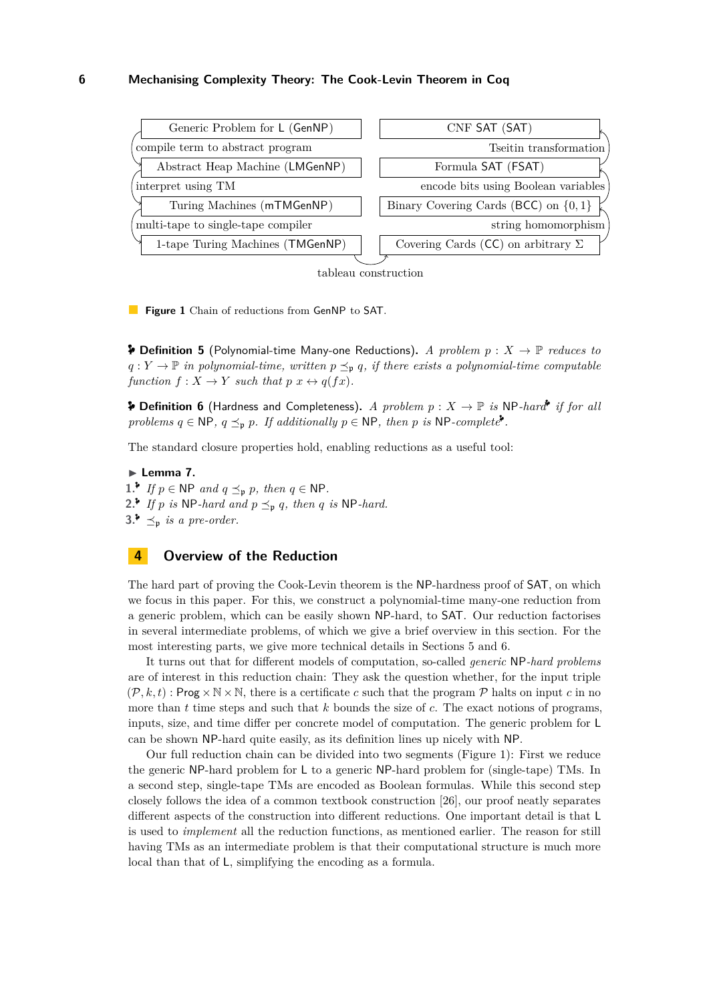<span id="page-5-1"></span>

**Figure 1** Chain of reductions from GenNP to SAT.

**[Definition 5](https://uds-psl.github.io/cook-levin/website/Complexity.Complexity.NP.html#reducesPolyMO)** (Polynomial-time Many-one Reductions)**.** *A problem p* : *X* → P *reduces to*  $q: Y \to \mathbb{P}$  *in polynomial-time, written*  $p \leq_{\mathfrak{p}} q$ *, if there exists a polynomial-time computable function*  $f: X \to Y$  *such that*  $p x \leftrightarrow q(fx)$ *.* 

**P** [Definition 6](https://uds-psl.github.io/cook-levin/website/Complexity.Complexity.NP.html#NPComplete) (Hardness and Completeness). *A problem*  $p : X \to \mathbb{P}$  *is* NP*[-hard](https://uds-psl.github.io/cook-levin/website/Complexity.Complexity.NP.html#NPhard)<sup>\*</sup> if for all problems*  $q \in \mathsf{NP}$ ,  $q \leq_p p$ *. If additionally*  $p \in \mathsf{NP}$ *, then*  $p$  *is*  $\mathsf{NP}$ *[-complete](https://uds-psl.github.io/cook-levin/website/Complexity.Complexity.NP.html#NPcomplete)*.

The standard closure properties hold, enabling reductions as a useful tool:

▶ **Lemma 7.**

**[1.](https://uds-psl.github.io/cook-levin/website/Complexity.Complexity.NP.html#red_inNP)** *<sup><i>i*</sup></sup> *If*  $p \in \mathbb{NP}$  *and*  $q \leq_p p$ *, then*  $q \in \mathbb{NP}$ *.* [2.](https://uds-psl.github.io/cook-levin/website/Complexity.Complexity.NP.html#red_NPhard) *If p* is NP-hard and  $p \leq_p q$ *, then q* is NP-hard.  $3.\bullet \preceq_{p}$  $3.\bullet \preceq_{p}$  *is a pre-order.* 

## <span id="page-5-0"></span>**4 Overview of the Reduction**

The hard part of proving the Cook-Levin theorem is the NP-hardness proof of SAT, on which we focus in this paper. For this, we construct a polynomial-time many-one reduction from a generic problem, which can be easily shown NP-hard, to SAT. Our reduction factorises in several intermediate problems, of which we give a brief overview in this section. For the most interesting parts, we give more technical details in Sections [5](#page-7-0) and [6.](#page-9-0)

It turns out that for different models of computation, so-called *generic* NP*-hard problems* are of interest in this reduction chain: They ask the question whether, for the input triple  $(\mathcal{P}, k, t)$ : Prog  $\times \mathbb{N} \times \mathbb{N}$ , there is a certificate *c* such that the program  $\mathcal{P}$  halts on input *c* in no more than *t* time steps and such that *k* bounds the size of *c*. The exact notions of programs, inputs, size, and time differ per concrete model of computation. The generic problem for L can be shown NP-hard quite easily, as its definition lines up nicely with NP.

Our full reduction chain can be divided into two segments (Figure [1\)](#page-5-1): First we reduce the generic NP-hard problem for L to a generic NP-hard problem for (single-tape) TMs. In a second step, single-tape TMs are encoded as Boolean formulas. While this second step closely follows the idea of a common textbook construction [\[26\]](#page-17-4), our proof neatly separates different aspects of the construction into different reductions. One important detail is that L is used to *implement* all the reduction functions, as mentioned earlier. The reason for still having TMs as an intermediate problem is that their computational structure is much more local than that of L, simplifying the encoding as a formula.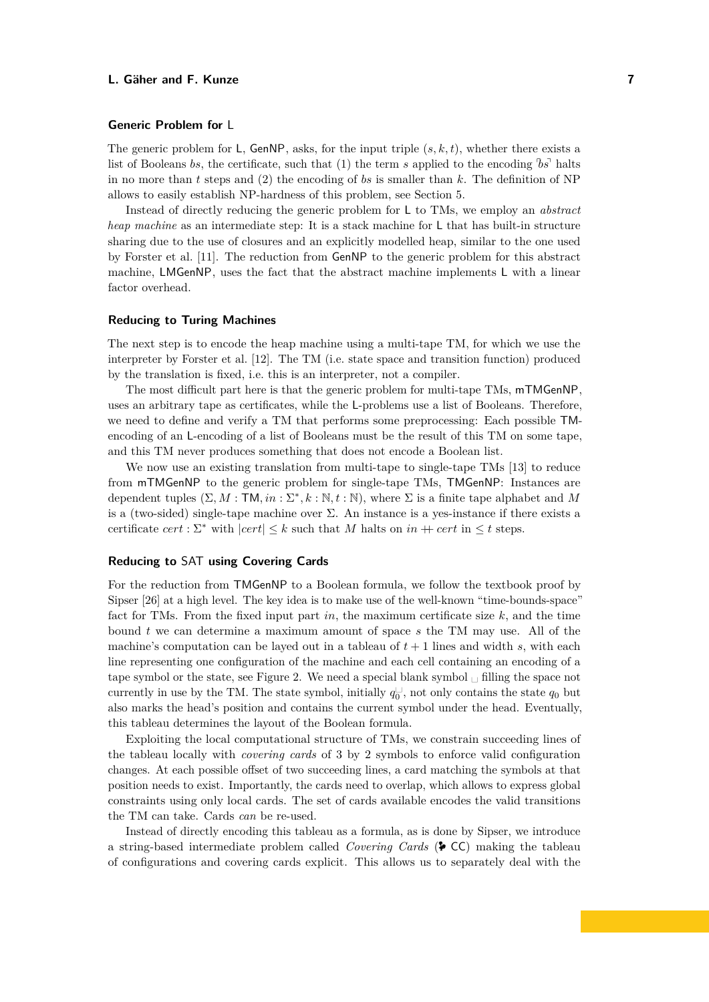#### **Generic Problem for** L

The generic problem for  $\mathsf{L}$ , GenNP, asks, for the input triple  $(s, k, t)$ , whether there exists a list of Booleans *bs*, the certificate, such that (1) the term *s* applied to the encoding  $\bar{b}s^{\bar{}}$  halts in no more than *t* steps and (2) the encoding of *bs* is smaller than *k*. The definition of NP allows to easily establish NP-hardness of this problem, see Section [5.](#page-7-0)

Instead of directly reducing the generic problem for L to TMs, we employ an *abstract heap machine* as an intermediate step: It is a stack machine for L that has built-in structure sharing due to the use of closures and an explicitly modelled heap, similar to the one used by Forster et al. [\[11\]](#page-16-8). The reduction from GenNP to the generic problem for this abstract machine, LMGenNP, uses the fact that the abstract machine implements L with a linear factor overhead.

#### **Reducing to Turing Machines**

The next step is to encode the heap machine using a multi-tape TM, for which we use the interpreter by Forster et al. [\[12\]](#page-16-10). The TM (i.e. state space and transition function) produced by the translation is fixed, i.e. this is an interpreter, not a compiler.

The most difficult part here is that the generic problem for multi-tape TMs, mTMGenNP, uses an arbitrary tape as certificates, while the L-problems use a list of Booleans. Therefore, we need to define and verify a TM that performs some preprocessing: Each possible TMencoding of an L-encoding of a list of Booleans must be the result of this TM on some tape, and this TM never produces something that does not encode a Boolean list.

We now use an existing translation from multi-tape to single-tape TMs [\[13\]](#page-16-6) to reduce from mTMGenNP to the generic problem for single-tape TMs, TMGenNP: Instances are dependent tuples  $(\Sigma, M : TM, in : \Sigma^*, k : \mathbb{N}, t : \mathbb{N})$ , where  $\Sigma$  is a finite tape alphabet and M is a (two-sided) single-tape machine over Σ. An instance is a yes-instance if there exists a certificate  $cert : \Sigma^*$  with  $|cert| \leq k$  such that *M* halts on  $in + cert$  in  $\leq t$  steps.

#### **Reducing to** SAT **using Covering Cards**

For the reduction from TMGenNP to a Boolean formula, we follow the textbook proof by Sipser [\[26\]](#page-17-4) at a high level. The key idea is to make use of the well-known "time-bounds-space" fact for TMs. From the fixed input part *in*, the maximum certificate size *k*, and the time bound *t* we can determine a maximum amount of space *s* the TM may use. All of the machine's computation can be layed out in a tableau of  $t + 1$  lines and width  $s$ , with each line representing one configuration of the machine and each cell containing an encoding of a tape symbol or the state, see Figure [2.](#page-7-1) We need a special blank symbol  $\Box$  filling the space not currently in use by the TM. The state symbol, initially  $q_0^{\perp}$ , not only contains the state  $q_0$  but also marks the head's position and contains the current symbol under the head. Eventually, this tableau determines the layout of the Boolean formula.

Exploiting the local computational structure of TMs, we constrain succeeding lines of the tableau locally with *covering cards* of 3 by 2 symbols to enforce valid configuration changes. At each possible offset of two succeeding lines, a card matching the symbols at that position needs to exist. Importantly, the cards need to overlap, which allows to express global constraints using only local cards. The set of cards available encodes the valid transitions the TM can take. Cards *can* be re-used.

Instead of directly encoding this tableau as a formula, as is done by Sipser, we introduce a string-based intermediate problem called *Covering Cards* ( $\blacktriangleright$  [CC](https://uds-psl.github.io/cook-levin/website/Complexity.NP.SAT.CookLevin.Subproblems.CC.html#PRLang)) making the tableau of configurations and covering cards explicit. This allows us to separately deal with the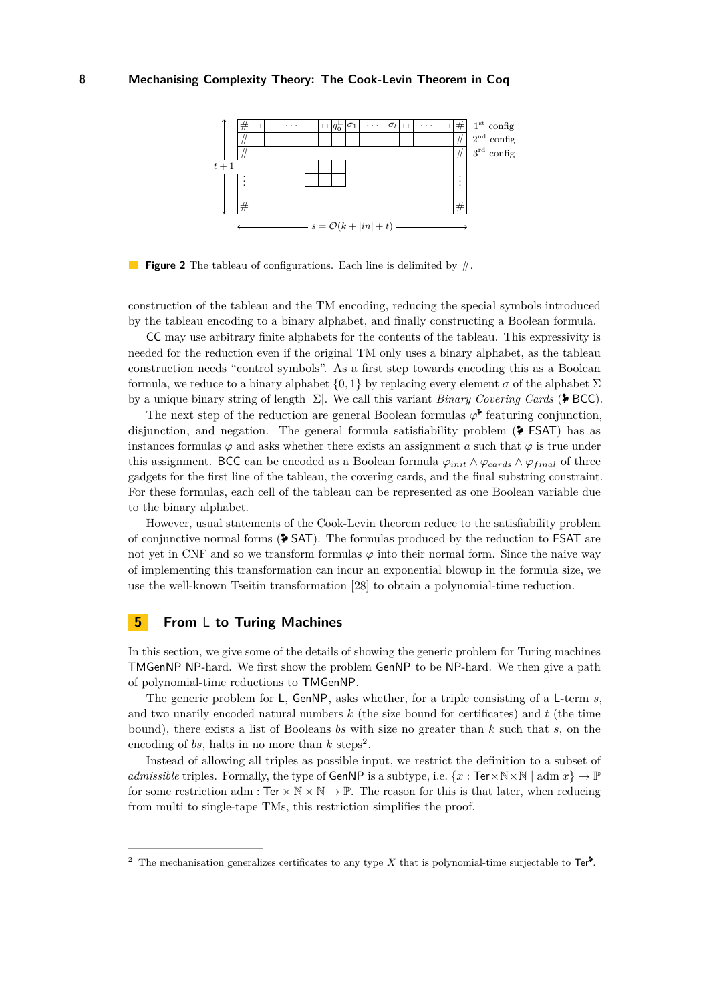<span id="page-7-1"></span>

**Figure 2** The tableau of configurations. Each line is delimited by #.

construction of the tableau and the TM encoding, reducing the special symbols introduced by the tableau encoding to a binary alphabet, and finally constructing a Boolean formula.

CC may use arbitrary finite alphabets for the contents of the tableau. This expressivity is needed for the reduction even if the original TM only uses a binary alphabet, as the tableau construction needs "control symbols". As a first step towards encoding this as a Boolean formula, we reduce to a binary alphabet  $\{0,1\}$  by replacing every element  $\sigma$  of the alphabet  $\Sigma$ by a unique binary string of length  $|\Sigma|$ . We call this variant *Binary Covering Cards* ( $\blacktriangleright$  [BCC](https://uds-psl.github.io/cook-levin/website/Complexity.NP.SAT.CookLevin.Subproblems.BinaryCC.html#BinaryPRLang)).

The next step of the reduction are general Boolean formulas  $\varphi^*$  featuring conjunction, disjunction, and negation. The general formula satisfiability problem ( $\blacktriangleright$  [FSAT](https://uds-psl.github.io/cook-levin/website/Complexity.NP.SAT.FSAT.FSAT.html#FSAT)) has as instances formulas  $\varphi$  and asks whether there exists an assignment *a* such that  $\varphi$  is true under this assignment. BCC can be encoded as a Boolean formula  $\varphi_{init} \wedge \varphi_{cards} \wedge \varphi_{final}$  of three gadgets for the first line of the tableau, the covering cards, and the final substring constraint. For these formulas, each cell of the tableau can be represented as one Boolean variable due to the binary alphabet.

However, usual statements of the Cook-Levin theorem reduce to the satisfiability problem of conjunctive normal forms ( $\blacklozenge$  [SAT](https://uds-psl.github.io/cook-levin/website/Complexity.NP.SAT.SAT.html#SAT)). The formulas produced by the reduction to FSAT are not yet in CNF and so we transform formulas  $\varphi$  into their normal form. Since the naive way of implementing this transformation can incur an exponential blowup in the formula size, we use the well-known Tseitin transformation [\[28\]](#page-17-8) to obtain a polynomial-time reduction.

# <span id="page-7-0"></span>**5 From** L **to Turing Machines**

In this section, we give some of the details of showing the generic problem for Turing machines TMGenNP NP-hard. We first show the problem GenNP to be NP-hard. We then give a path of polynomial-time reductions to TMGenNP.

The generic problem for L, GenNP, asks whether, for a triple consisting of a L-term *s*, and two unarily encoded natural numbers *k* (the size bound for certificates) and *t* (the time bound), there exists a list of Booleans *bs* with size no greater than *k* such that *s*, on the encoding of  $bs$ , halts in no more than  $k$  steps<sup>[2](#page-7-2)</sup>.

Instead of allowing all triples as possible input, we restrict the definition to a subset of *admissible* triples. Formally, the type of GenNP is a subtype, i.e.  $\{x : \text{Ter}\times\mathbb{N}\times\mathbb{N} \mid \text{adm } x\} \to \mathbb{P}$ for some restriction adm :  $\text{Ter } \times \mathbb{N} \times \mathbb{N} \to \mathbb{P}$ . The reason for this is that later, when reducing from multi to single-tape TMs, this restriction simplifies the proof.

<span id="page-7-2"></span><sup>&</sup>lt;sup>2</sup> The mechanisation generalizes certificates to any type *X* that is [polynomial-time surjectable to](https://uds-psl.github.io/cook-levin/website/Complexity.NP.L.CanEnumTerm_def.html#canEnumTerms)  $\text{Ter}^{\clubsuit}$ .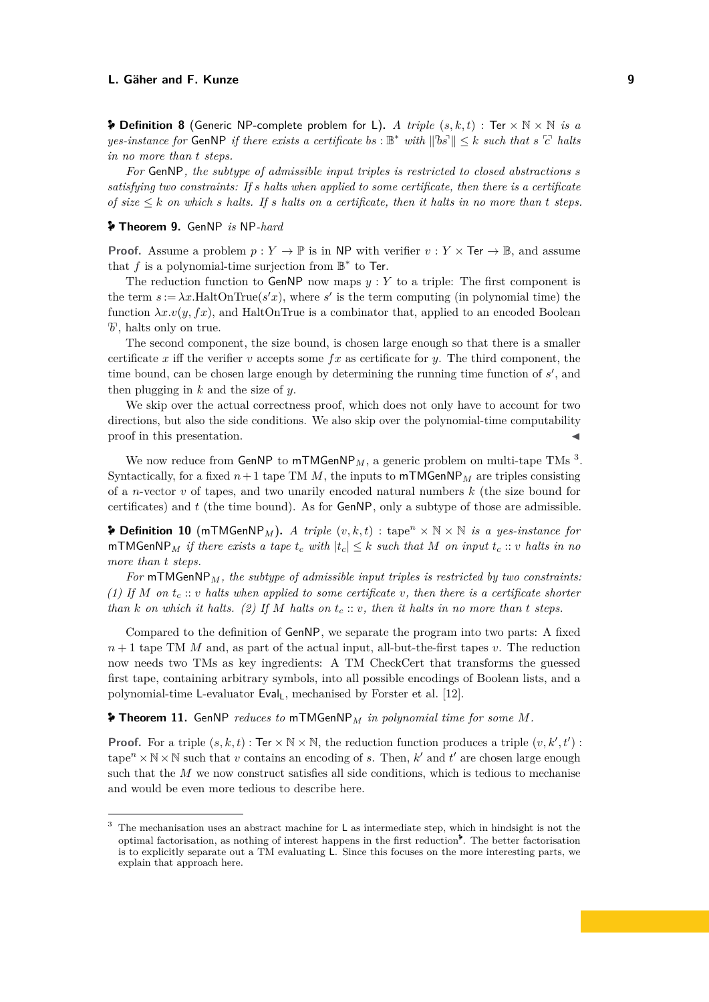**P** [Definition 8](https://uds-psl.github.io/cook-levin/website/Complexity.NP.L.GenNP.html#GenNP) (Generic NP-complete problem for L). A triple  $(s, k, t)$ : Ter  $\times \mathbb{N} \times \mathbb{N}$  is a  $y$ es-instance for GenNP *if there exists a certificate*  $bs : \mathbb{B}^*$  *with*  $||b s|| \leq k$  *such that*  $s \in \mathbb{B}^*$  *halts in no more than t steps.*

*For* GenNP*, the subtype of admissible input triples is restricted to closed abstractions s satisfying two constraints: If s halts when applied to some certificate, then there is a certificate of size*  $\leq k$  *on which s halts.* If *s halts on a certificate, then it halts in no more than t steps.* 

#### **[Theorem 9.](https://uds-psl.github.io/cook-levin/website/Complexity.NP.L.GenNP_is_hard.html#NPhard_GenNP)** GenNP *is* NP*-hard*

**Proof.** Assume a problem  $p: Y \to \mathbb{P}$  is in NP with verifier  $v: Y \times \text{Ter } \to \mathbb{B}$ , and assume that  $f$  is a polynomial-time surjection from  $\mathbb{B}^*$  to Ter.

The reduction function to GenNP now maps *y* : *Y* to a triple: The first component is the term  $s := \lambda x$ .HaltOnTrue( $s'x$ ), where  $s'$  is the term computing (in polynomial time) the function  $\lambda x.v(y, fx)$ , and HaltOnTrue is a combinator that, applied to an encoded Boolean  $\delta$ <sup>t</sup>, halts only on true.

The second component, the size bound, is chosen large enough so that there is a smaller certificate x iff the verifier  $v$  accepts some  $fx$  as certificate for  $y$ . The third component, the time bound, can be chosen large enough by determining the running time function of  $s'$ , and then plugging in *k* and the size of *y*.

We skip over the actual correctness proof, which does not only have to account for two directions, but also the side conditions. We also skip over the polynomial-time computability proof in this presentation.

We now reduce from GenNP to  $mTMGenNP_M$ , a generic problem on multi-tape TMs<sup>[3](#page-8-0)</sup>. Syntactically, for a fixed  $n+1$  tape TM  $M$ , the inputs to  $mTMGenNP<sub>M</sub>$  are triples consisting of a *n*-vector *v* of tapes, and two unarily encoded natural numbers *k* (the size bound for certificates) and *t* (the time bound). As for GenNP, only a subtype of those are admissible.

**P** [Definition 10](https://uds-psl.github.io/cook-levin/website/Complexity.NP.TM.TMGenNP_fixed_mTM.html#mTMGenNP_fixed) (mTMGenNP<sub>M</sub>). A triple  $(v, k, t)$  : tape<sup>n</sup>  $\times \mathbb{N} \times \mathbb{N}$  is a yes-instance for mTMGenNP<sub>M</sub> if there exists a tape  $t_c$  with  $|t_c| \leq k$  such that M on input  $t_c :: v$  halts in no *more than t steps.*

*For* mTMGenNP*M, the subtype of admissible input triples is restricted by two constraints:* (1) If  $M$  on  $t_c$  : *v* halts when applied to some certificate  $v$ , then there is a certificate shorter *than*  $k$  *on which it halts.* (2) If  $M$  *halts on*  $t_c$  : *v, then it halts in no more than*  $t$  *steps.* 

Compared to the definition of GenNP, we separate the program into two parts: A fixed  $n+1$  tape TM *M* and, as part of the actual input, all-but-the-first tapes *v*. The reduction now needs two TMs as key ingredients: A TM CheckCert that transforms the guessed first tape, containing arbitrary symbols, into all possible encodings of Boolean lists, and a polynomial-time L-evaluator Eval<sub>L</sub>, mechanised by Forster et al. [\[12\]](#page-16-10).

**[Theorem 11.](https://uds-psl.github.io/cook-levin/website/Complexity.NP.TM.LM_to_mTM.html#LMGenNP_to_TMGenNP_mTM)** GenNP *reduces to* mTMGenNP*<sup>M</sup> in polynomial time for some M.*

**Proof.** For a triple  $(s, k, t)$ : Ter  $\times \mathbb{N} \times \mathbb{N}$ , the reduction function produces a triple  $(v, k', t')$ :  $\text{tape}^n \times \mathbb{N} \times \mathbb{N}$  such that *v* contains an encoding of *s*. Then, *k'* and *t'* are chosen large enough such that the *M* we now construct satisfies all side conditions, which is tedious to mechanise and would be even more tedious to describe here.

<span id="page-8-0"></span><sup>3</sup> The mechanisation uses an abstract machine for L as intermediate step, which in hindsight is not the optimal factorisation, as nothing of interest happens in the [first reduction](https://uds-psl.github.io/cook-levin/website/Complexity.NP.TM.L_to_LM.html#GenNP_to_LMGenNP). The better factorisation is to explicitly separate out a TM evaluating L. Since this focuses on the more interesting parts, we explain that approach here.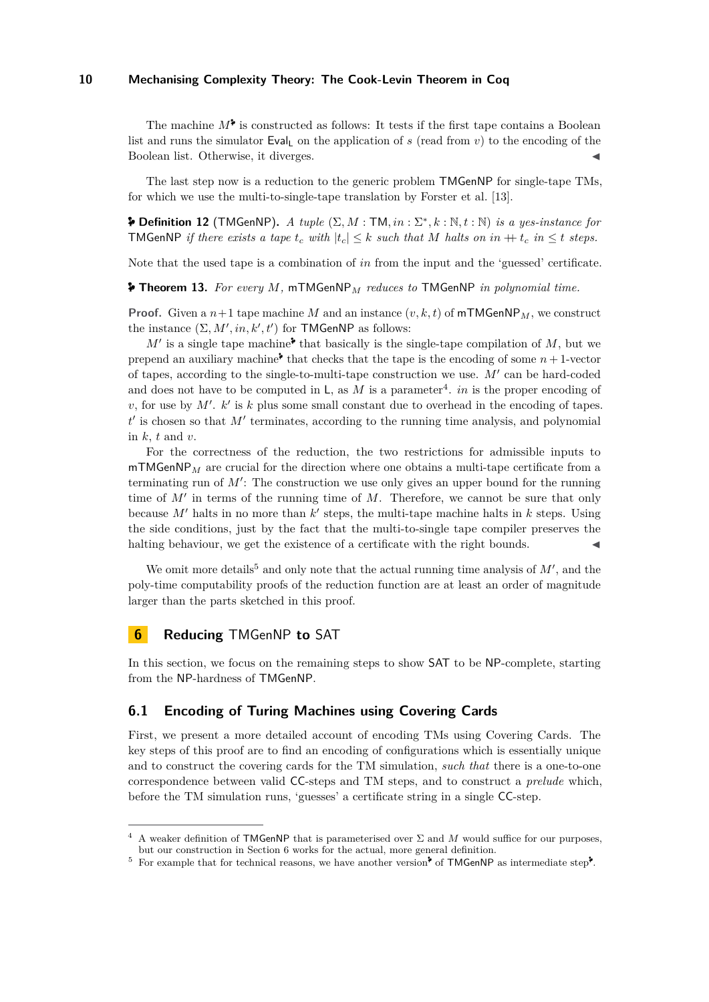The [machine](https://uds-psl.github.io/cook-levin/website/Complexity.NP.TM.LM_to_mTM.html#M.M)  $M^{\bullet}$  is constructed as follows: It tests if the first tape contains a Boolean list and runs the simulator Eval<sub>l</sub> on the application of  $s$  (read from  $v$ ) to the encoding of the Boolean list. Otherwise, it diverges.

The last step now is a reduction to the generic problem TMGenNP for single-tape TMs, for which we use the multi-to-single-tape translation by Forster et al. [\[13\]](#page-16-6).

**[Definition 12](https://uds-psl.github.io/cook-levin/website/Complexity.NP.SAT.CookLevin.Subproblems.SingleTMGenNP.html#FlatSingleTMGenNP)** (TMGenNP). *A tuple*  $(\Sigma, M : TM, in : \Sigma^*, k : \mathbb{N}, t : \mathbb{N})$  *is a yes-instance for* **TMGenNP** if there exists a tape  $t_c$  with  $|t_c| \leq k$  such that M halts on in  $+t_c$  in  $\leq t$  steps.

Note that the used tape is a combination of *in* from the input and the 'guessed' certificate.

**[Theorem 13.](https://uds-psl.github.io/cook-levin/website/Complexity.NP.TM.mTM_to_singleTapeTM.html#TMGenNP_mTM_to_TMGenNP_singleTM)** *For every M,* mTMGenNP*<sup>M</sup> reduces to* TMGenNP *in polynomial time.*

**Proof.** Given a  $n+1$  tape machine M and an instance  $(v, k, t)$  of  $mTMGenNP<sub>M</sub>$ , we construct the instance  $(\Sigma, M', in, k', t')$  for TMGenNP as follows:

 $M'$  [is a single tape machine](https://uds-psl.github.io/cook-levin/website/Complexity.NP.TM.M_multi2mono.html#M__mono)<sup>\*</sup> that basically is the single-tape compilation of  $M$ , but we prepend an [auxiliary machine](https://uds-psl.github.io/cook-levin/website/Complexity.NP.TM.M_multi2mono.html#MultiToMono.M)<sup>t</sup> that checks that the tape is the encoding of some  $n+1$ -vector of tapes, according to the single-to-multi-tape construction we use. *M*′ can be hard-coded and does not have to be computed in  $\mathsf{L}$ , as M is a parameter<sup>[4](#page-9-1)</sup>. *in* is the proper encoding of  $v$ , for use by  $M'$ .  $k'$  is  $k$  plus some small constant due to overhead in the encoding of tapes. *t* ′ is chosen so that *M*′ terminates, according to the running time analysis, and polynomial in *k*, *t* and *v*.

For the correctness of the reduction, the two restrictions for admissible inputs to mTMGenNP*<sup>M</sup>* are crucial for the direction where one obtains a multi-tape certificate from a terminating run of *M*′ : The construction we use only gives an upper bound for the running time of  $M'$  in terms of the running time of M. Therefore, we cannot be sure that only because  $M'$  halts in no more than  $k'$  steps, the multi-tape machine halts in  $k$  steps. Using the side conditions, just by the fact that the multi-to-single tape compiler preserves the halting behaviour, we get the existence of a certificate with the right bounds.

We omit more details<sup>[5](#page-9-2)</sup> and only note that the actual running time analysis of  $M'$ , and the poly-time computability proofs of the reduction function are at least an order of magnitude larger than the parts sketched in this proof.

# <span id="page-9-0"></span>**6 Reducing** TMGenNP **to** SAT

In this section, we focus on the remaining steps to show SAT to be NP-complete, starting from the NP-hardness of TMGenNP.

## **6.1 Encoding of Turing Machines using Covering Cards**

First, we present a more detailed account of encoding TMs using Covering Cards. The key steps of this proof are to find an encoding of configurations which is essentially unique and to construct the covering cards for the TM simulation, *such that* there is a one-to-one correspondence between valid CC-steps and TM steps, and to construct a *prelude* which, before the TM simulation runs, 'guesses' a certificate string in a single CC-step.

<span id="page-9-1"></span><sup>4</sup> A weaker definition of TMGenNP that is parameterised over Σ and *M* would suffice for our purposes, but our construction in Section [6](#page-9-0) works for the actual, more general definition.

<span id="page-9-2"></span><sup>&</sup>lt;sup>5</sup> For example that for technical reasons, we have [another version](https://uds-psl.github.io/cook-levin/website/Complexity.NP.TM.TMGenNP_fixed_mTM.html#TMGenNP_fixed)<sup>\*</sup> of TMGenNP as [intermediate step](https://uds-psl.github.io/cook-levin/website/Complexity.NP.SAT.CookLevin.Reductions.TMGenNP_fixed_singleTapeTM_to_FlatFunSingleTMGenNP.html#TMGenNP_fixed_singleTapeTM_to_FlatFunSingleTMGenNP)<sup>\*</sup>.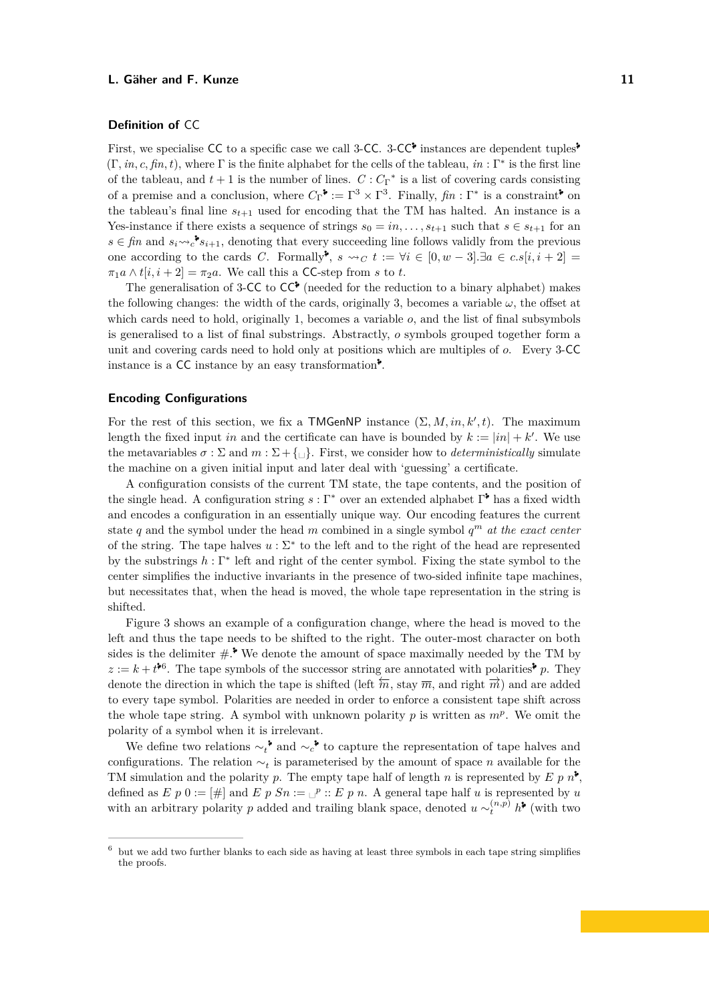#### **Definition of** CC

First, we specialise [CC](https://uds-psl.github.io/cook-levin/website/Complexity.NP.SAT.CookLevin.Subproblems.TCC.html#TCCLang) to a specific case we call 3-CC. 3-CC<sup>\*</sup> instances are [dependent tuples](https://uds-psl.github.io/cook-levin/website/Complexity.NP.SAT.CookLevin.Subproblems.TCC.html#TCC)<sup>\*</sup>  $(\Gamma, in, c, fin, t)$ , where  $\Gamma$  is the finite alphabet for the cells of the tableau,  $in : \Gamma^*$  is the first line of the tableau, and  $t + 1$  is the number of lines.  $C : C_{\Gamma}^*$  is a list of covering cards consisting of a premise and a conclusion, where  $C_{\Gamma}^{\blacktriangleright} := \Gamma^3 \times \Gamma^3$  $C_{\Gamma}^{\blacktriangleright} := \Gamma^3 \times \Gamma^3$ . Finally,  $\mathit{fin} : \Gamma^*$  is a [constraint](https://uds-psl.github.io/cook-levin/website/Complexity.NP.SAT.CookLevin.Subproblems.TCC.html#satFinal)<sup>\*</sup> on the tableau's final line  $s_{t+1}$  used for encoding that the TM has halted. An instance is a Yes-instance if there exists a sequence of strings  $s_0 = in, \ldots, s_{t+1}$  such that  $s \in s_{t+1}$  for an  $s \in fin$  and  $s_i \rightarrow s_{i+1}$ , denoting that every succeeding line follows validly from the previous one according to the cards *C*. [Formally](https://uds-psl.github.io/cook-levin/website/Complexity.NP.SAT.CookLevin.Subproblems.TCC.html#valid_iff)<sup>\*</sup>,  $s \rightsquigarrow_C t := \forall i \in [0, w - 3]$ .  $\exists a \in c \ s[i, i + 2] =$  $\pi_1 a \wedge t[i, i+2] = \pi_2 a$ . We call this a CC-step from *s* to *t*.

The generalisation of 3-[CC](https://uds-psl.github.io/cook-levin/website/Complexity.NP.SAT.CookLevin.Subproblems.CC.html#CCLang) to  $CC^{\bullet}$  (needed for the reduction to a binary alphabet) makes the following changes: the width of the cards, originally 3, becomes a variable  $\omega$ , the offset at which cards need to hold, originally 1, becomes a variable  $o$ , and the list of final subsymbols is generalised to a list of final substrings. Abstractly, *o* symbols grouped together form a unit and covering cards need to hold only at positions which are multiples of *o*. Every 3-CC instance is a  $CC$  instance by an [easy transformation](https://uds-psl.github.io/cook-levin/website/Complexity.NP.SAT.CookLevin.Reductions.FlatTCC_to_FlatCC.html#FlatTCC_to_FlatCC_poly).

## **Encoding Configurations**

For the rest of this section, we fix a **TMGenNP** instance  $(\Sigma, M, in, k', t)$ . The maximum length the fixed input *in* and the certificate can have is bounded by  $k := |in| + k'$ . We use the metavariables  $\sigma : \Sigma$  and  $m : \Sigma + \{\Box\}$ . First, we consider how to *deterministically* simulate the machine on a given initial input and later deal with 'guessing' a certificate.

A configuration consists of the current TM state, the tape contents, and the position of the single head. A configuration string  $s : \Gamma^*$  over an extended alphabet  $\Gamma^*$  has a fixed width and encodes a configuration in an essentially unique way. Our encoding features the current state *q* and the symbol under the head *m* combined in a single symbol  $q^m$  *at the exact center* of the string. The tape halves  $u : \Sigma^*$  to the left and to the right of the head are represented by the substrings *h* : Γ ∗ left and right of the center symbol. Fixing the state symbol to the center simplifies the inductive invariants in the presence of two-sided infinite tape machines, but necessitates that, when the head is moved, the whole tape representation in the string is shifted.

Figure [3](#page-11-0) shows an example of a configuration change, where the head is moved to the left and thus the tape needs to be shifted to the right. The outer-most character on both sides is the delimiter  $\#$ . We denote the amount of space maximally needed by the TM by  $z := k + t^{*6}$  $z := k + t^{*6}$  $z := k + t^{*6}$  $z := k + t^{*6}$  $z := k + t^{*6}$ . The tape symbols of the successor string are annotated with [polarities](https://uds-psl.github.io/cook-levin/website/Complexity.NP.SAT.CookLevin.Reductions.SingleTMGenNP_to_TCC.html#polarity)<sup>\*</sup> p. They denote the direction in which the tape is shifted (left  $\overline{m}$ , stay  $\overline{m}$ , and right  $\overline{m}$ ) and are added to every tape symbol. Polarities are needed in order to enforce a consistent tape shift across the whole tape string. A symbol with unknown polarity  $p$  is written as  $m^p$ . We omit the polarity of a symbol when it is irrelevant.

We define two relations  $\sim t^*$  and  $\sim c^*$  to capture the representation of tape halves and configurations. The relation ∼*<sup>t</sup>* is parameterised by the amount of space *n* available for the TM simulation and the polarity p. The empty tape half of length n is represented by  $E p n^*$  $E p n^*$ . defined as  $E \, p \, 0 := [\#]$  and  $E \, p \, S_n := \Box^p :: E \, p \, n$ . A general tape half  $u$  is represented by  $u$ with an arbitrary polarity *p* added and trailing blank space, denoted  $u \sim_t^{(n,p)} h^{\bullet}$  $u \sim_t^{(n,p)} h^{\bullet}$  $u \sim_t^{(n,p)} h^{\bullet}$  (with two

<span id="page-10-0"></span> $6$  but we add two further blanks to each side as having at least three symbols in each tape string simplifies the proofs.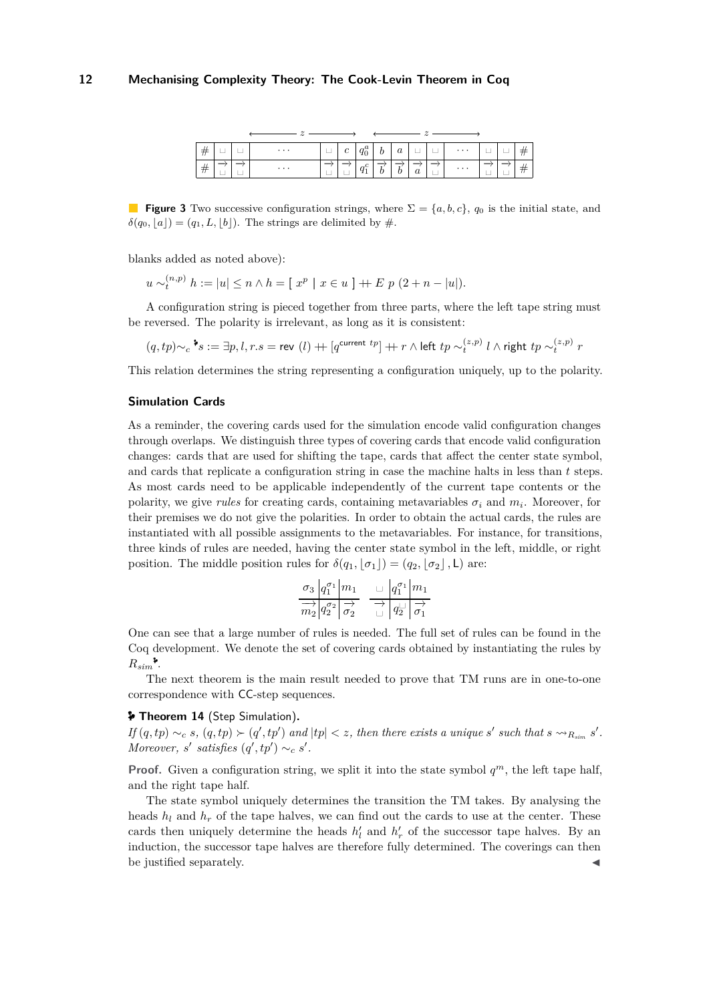<span id="page-11-0"></span>

| # |  | $\mathbf{I}$ and $\mathbf{I}$ are $\mathbf{I}$ |  |         |  |  | $\mid \;\sqcup \;\mid c \;\mid q_0^a \mid b \;\mid a \;\mid \;\sqcup \;\mid \;\sqcup \;\mid \;\cdots \;\mid \;\sqcup \;\mid \;\sqcup$ |  |  |
|---|--|------------------------------------------------|--|---------|--|--|---------------------------------------------------------------------------------------------------------------------------------------|--|--|
| # |  | <b>Contract Contract</b>                       |  | $a_1^c$ |  |  | $\left  \overrightarrow{a} \right $ $\rightarrow$ $\cdots$                                                                            |  |  |

**Figure 3** Two successive configuration strings, where  $\Sigma = \{a, b, c\}$ ,  $q_0$  is the initial state, and  $\delta(q_0, \lfloor a \rfloor) = (q_1, L, \lfloor b \rfloor)$ . The strings are delimited by #.

blanks added as noted above):

 $u \sim_t^{(n,p)}$   $h := |u| \leq n \wedge h = [x^p \mid x \in u] + E p (2 + n - |u|).$ 

A configuration string is pieced together from three parts, where the left tape string must be reversed. The polarity is irrelevant, as long as it is consistent:

 $(q, tp) \sim_c {^\bullet\!} s := \exists p, l, r.s = \textsf{rev} \; (l) + [q^{\textsf{current } \; tp} ] + r \wedge \textsf{left} \; tp \sim_t^{(z,p)} l \wedge \textsf{right} \; tp \sim_t^{(z,p)} r$ 

This relation determines the string representing a configuration uniquely, up to the polarity.

#### **Simulation Cards**

As a reminder, the covering cards used for the simulation encode valid configuration changes through overlaps. We distinguish three types of covering cards that encode valid configuration changes: cards that are used for shifting the tape, cards that affect the center state symbol, and cards that replicate a configuration string in case the machine halts in less than *t* steps. As most cards need to be applicable independently of the current tape contents or the polarity, we give *rules* for creating cards, containing metavariables  $\sigma_i$  and  $m_i$ . Moreover, for their premises we do not give the polarities. In order to obtain the actual cards, the rules are instantiated with all possible assignments to the metavariables. For instance, for transitions, three kinds of rules are needed, having the center state symbol in the left, middle, or right position. The middle position rules for  $\delta(q_1, |\sigma_1|) = (q_2, |\sigma_2|, L)$  are:

$$
\frac{\sigma_3}{\overrightarrow{m_2}}\frac{\left|q_1^{\sigma_1}\right|m_1}{\left|q_2^{\sigma_2}\right| \overrightarrow{\sigma_2}} \quad \frac{\Box}{\overrightarrow{m_2}}\frac{\left|q_1^{\sigma_1}\right|m_1}{\left|q_2^{\Box}\right| \overrightarrow{\sigma_1}}
$$

One can see that a large number of rules is needed. The full set of rules can be found in the Coq development. We denote the set of covering cards obtained by instantiating the rules by  $R_{sim}$  $R_{sim}$  $R_{sim}$ <sup>\*</sup>.

The next theorem is the main result needed to prove that TM runs are in one-to-one correspondence with CC-step sequences.

#### <span id="page-11-1"></span>**[Theorem 14](https://uds-psl.github.io/cook-levin/website/Complexity.NP.SAT.CookLevin.Reductions.SingleTMGenNP_to_TCC.html#stepsim)** (Step Simulation)**.**

If  $(q, tp) \sim_c s$ ,  $(q, tp) \succ (q', tp')$  and  $|tp| < z$ , then there exists a unique s' such that  $s \leadsto_{R_{sim}} s'$ . *Moreover, s' satisfies*  $(q', tp') \sim_c s'$ *.* 

**Proof.** Given a configuration string, we split it into the state symbol  $q^m$ , the left tape half, and the right tape half.

The state symbol uniquely determines the transition the TM takes. By analysing the heads  $h_l$  and  $h_r$  of the tape halves, we can find out the cards to use at the center. These cards then uniquely determine the heads  $h'_{l}$  and  $h'_{r}$  of the successor tape halves. By an induction, the successor tape halves are therefore fully determined. The coverings can then be justified separately.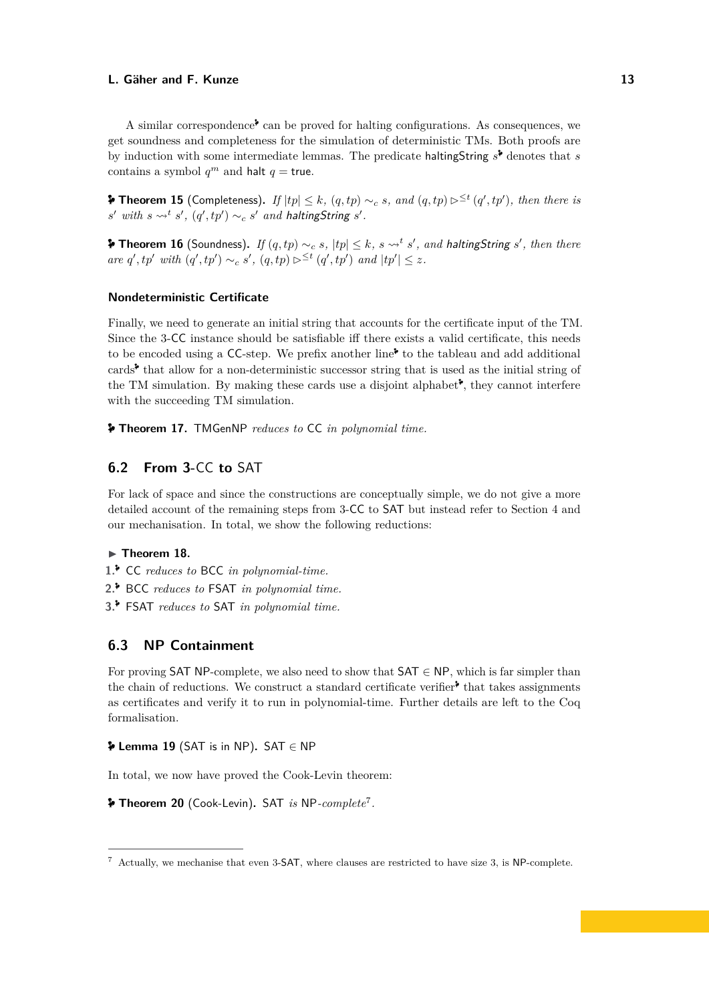[A similar correspondence](https://uds-psl.github.io/cook-levin/website/Complexity.NP.SAT.CookLevin.Reductions.SingleTMGenNP_to_TCC.html#haltsim)<sup> $\bullet$ </sup> can be proved for halting configurations. As consequences, we get soundness and completeness for the simulation of deterministic TMs. Both proofs are by induction with some intermediate lemmas. The predicate [haltingString](https://uds-psl.github.io/cook-levin/website/Complexity.NP.SAT.CookLevin.Reductions.SingleTMGenNP_to_TCC.html#containsHaltingState)  $s^*$  denotes that *s* contains a symbol  $q^m$  and halt  $q =$  true.

**[Theorem 15](https://uds-psl.github.io/cook-levin/website/Complexity.NP.SAT.CookLevin.Reductions.SingleTMGenNP_to_TCC.html#completeness)** (Completeness). *If*  $|tp| \leq k$ *,*  $(q, tp) \sim_c s$ *, and*  $(q, tp) \rhd^{\leq t} (q', tp')$ *, then there is*  $s'$  *with*  $s \leadsto^t s'$ ,  $(q', tp') \sim_c s'$  *and* haltingString  $s'$ .

**[Theorem 16](https://uds-psl.github.io/cook-levin/website/Complexity.NP.SAT.CookLevin.Reductions.SingleTMGenNP_to_TCC.html#soundness)** (Soundness). If  $(q, tp) \sim_c s$ ,  $|tp| \leq k$ ,  $s \leadsto^t s'$ , and haltingString  $s'$ , then there *are*  $q'$ ,  $tp'$  *with*  $(q', tp') \sim_c s'$ ,  $(q, tp) \rhd^{\leq t} (q', tp')$  *and*  $|tp'| \leq z$ .

#### **Nondeterministic Certificate**

Finally, we need to generate an initial string that accounts for the certificate input of the TM. Since the 3-CC instance should be satisfiable iff there exists a valid certificate, this needs to be encoded using a  $CC$ -step. We prefix [another line](https://uds-psl.github.io/cook-levin/website/Complexity.NP.SAT.CookLevin.Reductions.SingleTMGenNP_to_TCC.html#preludeInitialString)<sup> $\bullet$ </sup> to the tableau and add [additional](https://uds-psl.github.io/cook-levin/website/Complexity.NP.SAT.CookLevin.Reductions.SingleTMGenNP_to_TCC.html#preludeRules) [cards](https://uds-psl.github.io/cook-levin/website/Complexity.NP.SAT.CookLevin.Reductions.SingleTMGenNP_to_TCC.html#preludeRules)<sup>\*</sup> that allow for a non-deterministic successor string that is used as the initial string of the TM simulation. By making these cards use a [disjoint alphabet](https://uds-psl.github.io/cook-levin/website/Complexity.NP.SAT.CookLevin.Reductions.SingleTMGenNP_to_TCC.html#preludeSig)<sup>\*</sup>, they cannot interfere with the succeeding TM simulation.

**[Theorem 17.](https://uds-psl.github.io/cook-levin/website/Complexity.NP.SAT.CookLevin.Reductions.FlatSingleTMGenNP_to_FlatTCC.html#FlatSingleTMGenNP_to_FlatTCCLang_poly)** TMGenNP *reduces to* CC *in polynomial time.*

# **6.2 From 3-**CC **to** SAT

For lack of space and since the constructions are conceptually simple, we do not give a more detailed account of the remaining steps from 3-CC to SAT but instead refer to Section [4](#page-5-0) and our mechanisation. In total, we show the following reductions:

## ▶ **Theorem 18.**

- **[1.](https://uds-psl.github.io/cook-levin/website/Complexity.NP.SAT.CookLevin.Reductions.FlatCC_to_BinaryCC.html#FlatCC_to_BinaryCC_poly)** CC *reduces to* BCC *in polynomial-time.*
- **[2.](https://uds-psl.github.io/cook-levin/website/Complexity.NP.SAT.CookLevin.Reductions.BinaryCC_to_FSAT.html#BinaryCC_to_FSAT_poly)** BCC *reduces to* FSAT *in polynomial time.*
- **[3.](https://uds-psl.github.io/cook-levin/website/Complexity.NP.SAT.FSAT.FSAT_to_SAT.html#FSAT_to_SAT_poly)** FSAT *reduces to* SAT *in polynomial time.*

# <span id="page-12-1"></span>**6.3 NP Containment**

For proving SAT NP-complete, we also need to show that  $SAT \in NP$ , which is far simpler than the chain of reductions. We construct a standard [certificate verifier](https://uds-psl.github.io/cook-levin/website/Complexity.NP.SAT.SAT.html#sat_verifier)  $\cdot$  that takes assignments as certificates and verify it to run in polynomial-time. Further details are left to the Coq formalisation.

**[Lemma 19](https://uds-psl.github.io/cook-levin/website/Complexity.NP.SAT.SAT_inNP.html#sat_NP)** (SAT is in NP)**.** SAT ∈ NP

In total, we now have proved the Cook-Levin theorem:

**[Theorem 20](https://uds-psl.github.io/cook-levin/website/Complexity.NP.SAT.CookLevin.html#CookLevin)** (Cook-Levin)**.** SAT *is* NP*-complete*[7](#page-12-0) *.*

<span id="page-12-0"></span><sup>7</sup> Actually, we mechanise that even 3-SAT, where clauses are restricted to have size 3, is NP-complete.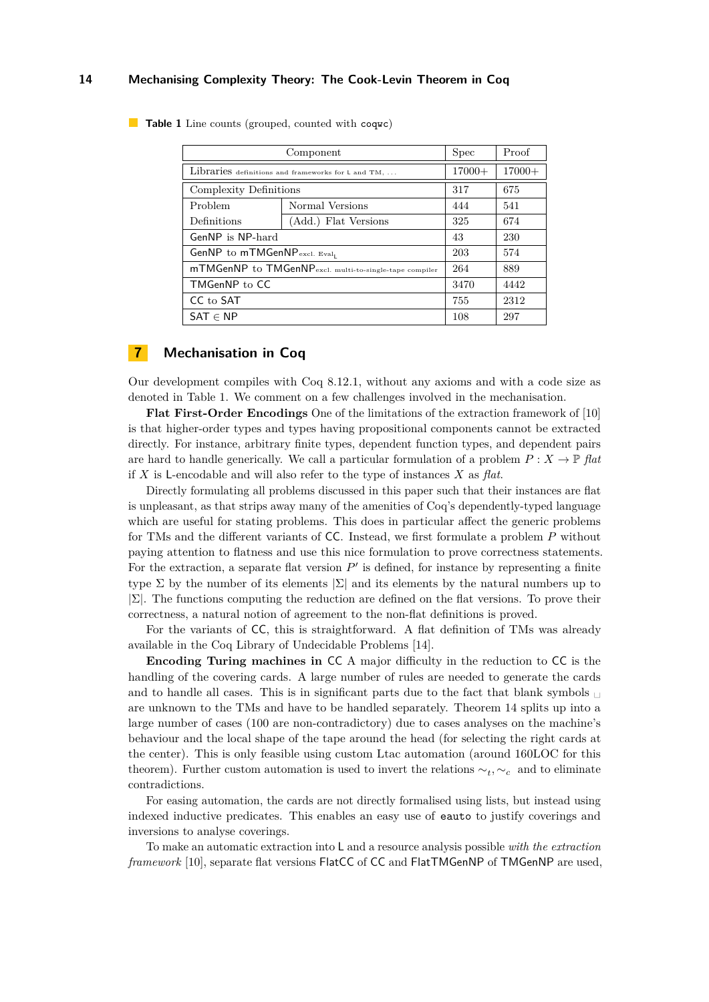|                                                        | <b>Spec</b>          | Proof    |     |
|--------------------------------------------------------|----------------------|----------|-----|
| Libraries definitions and frameworks for L and TM,     | $17000+$             | $17000+$ |     |
| Complexity Definitions                                 | 317                  | 675      |     |
| Problem                                                | Normal Versions      | 444      | 541 |
| Definitions                                            | (Add.) Flat Versions | 325      | 674 |
| GenNP is NP-hard                                       | 43                   | 230      |     |
| GenNP to $mTMGenNPexcl. ExalL$                         | 203                  | 574      |     |
| mTMGenNP to TMGenNPexcl. multi-to-single-tape compiler | 264                  | 889      |     |
| <b>TMGenNP</b> to CC                                   | 3470                 | 4442     |     |
| CC to SAT                                              | 755                  | 2312     |     |
| $SAT \in NP$                                           | 108                  | 297      |     |

<span id="page-13-1"></span>**Table 1** Line counts (grouped, counted with coqwc)

# <span id="page-13-0"></span>**7 Mechanisation in Coq**

Our development compiles with Coq 8.12.1, without any axioms and with a code size as denoted in Table [1.](#page-13-1) We comment on a few challenges involved in the mechanisation.

**Flat First-Order Encodings** One of the limitations of the extraction framework of [\[10\]](#page-16-7) is that higher-order types and types having propositional components cannot be extracted directly. For instance, arbitrary finite types, dependent function types, and dependent pairs are hard to handle generically. We call a particular formulation of a problem  $P: X \to \mathbb{P}$  *flat* if *X* is L-encodable and will also refer to the type of instances *X* as *flat*.

Directly formulating all problems discussed in this paper such that their instances are flat is unpleasant, as that strips away many of the amenities of Coq's dependently-typed language which are useful for stating problems. This does in particular affect the generic problems for TMs and the different variants of CC. Instead, we first formulate a problem *P* without paying attention to flatness and use this nice formulation to prove correctness statements. For the extraction, a separate flat version  $P'$  is defined, for instance by representing a finite type  $\Sigma$  by the number of its elements  $\Sigma$  and its elements by the natural numbers up to  $|\Sigma|$ . The functions computing the reduction are defined on the flat versions. To prove their correctness, a natural notion of agreement to the non-flat definitions is proved.

For the variants of CC, this is straightforward. A flat definition of TMs was already available in the Coq Library of Undecidable Problems [\[14\]](#page-16-14).

**Encoding Turing machines in** CC A major difficulty in the reduction to CC is the handling of the covering cards. A large number of rules are needed to generate the cards and to handle all cases. This is in significant parts due to the fact that blank symbols  $\rm _\sqcup$ are unknown to the TMs and have to be handled separately. Theorem [14](#page-11-1) splits up into a large number of cases (100 are non-contradictory) due to cases analyses on the machine's behaviour and the local shape of the tape around the head (for selecting the right cards at the center). This is only feasible using custom Ltac automation (around 160LOC for this theorem). Further custom automation is used to invert the relations ∼*<sup>t</sup> ,* ∼*<sup>c</sup>* and to eliminate contradictions.

For easing automation, the cards are not directly formalised using lists, but instead using indexed inductive predicates. This enables an easy use of eauto to justify coverings and inversions to analyse coverings.

To make an automatic extraction into L and a resource analysis possible *with the extraction framework* [\[10\]](#page-16-7), separate flat versions FlatCC of CC and FlatTMGenNP of TMGenNP are used,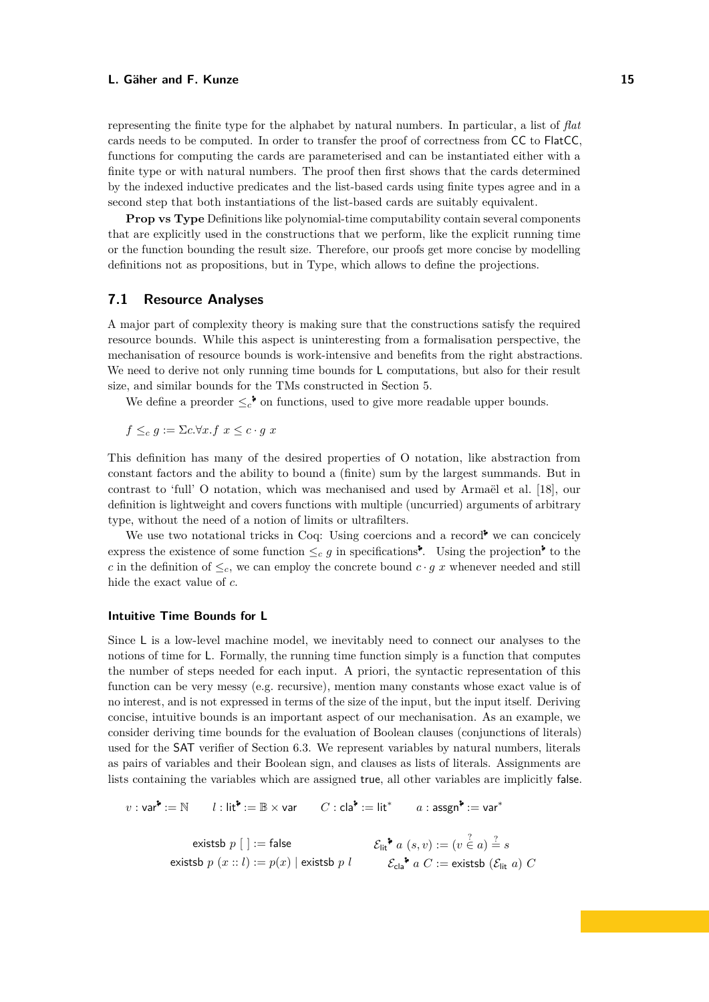representing the finite type for the alphabet by natural numbers. In particular, a list of *flat* cards needs to be computed. In order to transfer the proof of correctness from CC to FlatCC, functions for computing the cards are parameterised and can be instantiated either with a finite type or with natural numbers. The proof then first shows that the cards determined by the indexed inductive predicates and the list-based cards using finite types agree and in a second step that both instantiations of the list-based cards are suitably equivalent.

**Prop vs Type** Definitions like polynomial-time computability contain several components that are explicitly used in the constructions that we perform, like the explicit running time or the function bounding the result size. Therefore, our proofs get more concise by modelling definitions not as propositions, but in Type, which allows to define the projections.

## **7.1 Resource Analyses**

A major part of complexity theory is making sure that the constructions satisfy the required resource bounds. While this aspect is uninteresting from a formalisation perspective, the mechanisation of resource bounds is work-intensive and benefits from the right abstractions. We need to derive not only running time bounds for L computations, but also for their result size, and similar bounds for the TMs constructed in Section [5.](#page-7-0)

We define a [preorder](https://uds-psl.github.io/cook-levin/website/Undecidability.L.Complexity.UpToC.html#leUpToC)  $\leq_c^*$  on functions, used to give more readable upper bounds.

 $f \leq_c g := \sum c \forall x . f \ x \leq c \cdot g \ x$ 

This definition has many of the desired properties of O notation, like abstraction from constant factors and the ability to bound a (finite) sum by the largest summands. But in contrast to 'full' O notation, which was mechanised and used by Armaël et al. [\[18\]](#page-17-9), our definition is lightweight and covers functions with multiple (uncurried) arguments of arbitrary type, without the need of a notion of limits or ultrafilters.

We use two notational tricks in Coq: Using [coercions and a record](https://uds-psl.github.io/cook-levin/website/Undecidability.L.Complexity.UpToC.html#UpToC)<sup>\*</sup> we can concicely express the existence of some function  $\leq_c g$  in [specifications](https://uds-psl.github.io/cook-levin/website/Undecidability.L.Datatypes.List.List_basics.html#_term_concat). Using the [projection](https://uds-psl.github.io/cook-levin/website/Undecidability.L.Complexity.UpToC.html#c__leUpToC)<sup>t</sup> to the *c* in the definition of  $\leq_c$ , we can employ the concrete bound *c* · *g x* whenever needed and still hide the exact value of *c*.

#### **Intuitive Time Bounds for L**

Since L is a low-level machine model, we inevitably need to connect our analyses to the notions of time for L. Formally, the running time function simply is a function that computes the number of steps needed for each input. A priori, the syntactic representation of this function can be very messy (e.g. recursive), mention many constants whose exact value is of no interest, and is not expressed in terms of the size of the input, but the input itself. Deriving concise, intuitive bounds is an important aspect of our mechanisation. As an example, we consider deriving time bounds for the evaluation of Boolean clauses (conjunctions of literals) used for the SAT verifier of Section [6.3.](#page-12-1) We represent variables by natural numbers, literals as pairs of variables and their Boolean sign, and clauses as lists of literals. Assignments are lists containing the variables which are assigned true, all other variables are implicitly false.

$$
v: \mathsf{var}^\blacktriangleright := \mathbb{N} \qquad l: \mathsf{lit}^\blacktriangleright := \mathbb{B} \times \mathsf{var} \qquad C: \mathsf{cla}^\blacktriangleright := \mathsf{lit}^* \qquad a: \mathsf{assign}^\blacktriangleright := \mathsf{var}^*
$$

$$
\begin{array}{ll}\text{exists } p \ [ \ ] := \text{false} & \mathcal{E}_{\text{lit}} \stackrel{\bullet}{\bullet} a \ (s, v) := (v \stackrel{?}{\in} a) \stackrel{?}{=} s\\ \text{exists } p \ (x :: l) := p(x) \ | \ \text{exists } p \ l & \mathcal{E}_{\text{cla}} \stackrel{\bullet}{\bullet} a \ C := \text{exists } (\mathcal{E}_{\text{lit}} \ a) \ C \end{array}
$$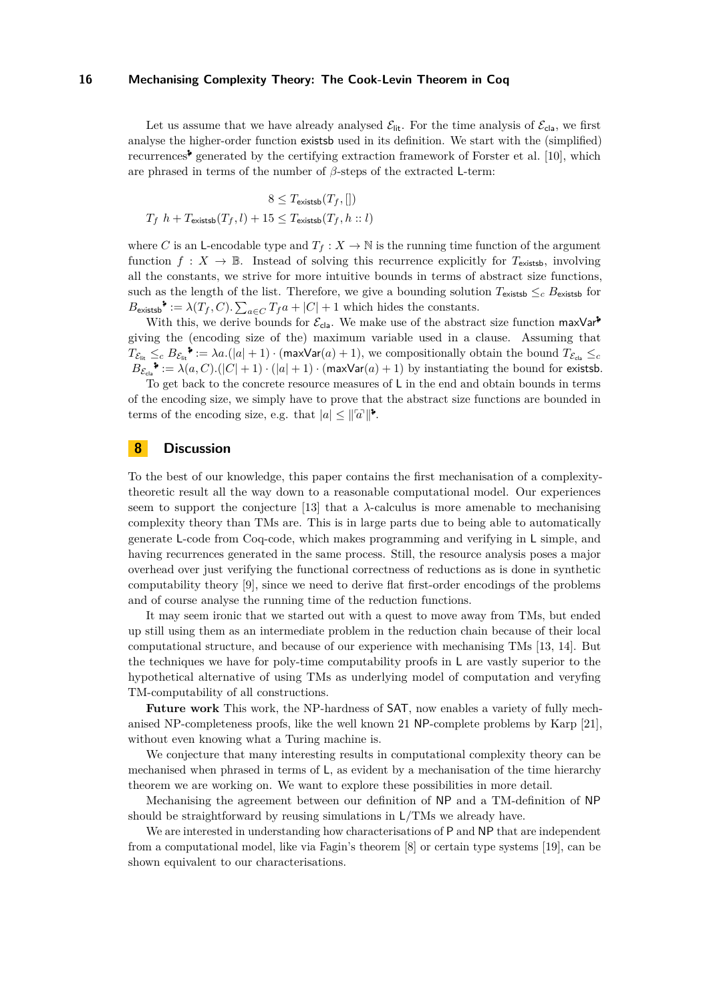Let us assume that we have already analysed  $\mathcal{E}_{\text{lit}}$ . For the time analysis of  $\mathcal{E}_{\text{cla}}$ , we first analyse the higher-order function existsb used in its definition. We start with the (simplified) [recurrences](https://uds-psl.github.io/cook-levin/website/Complexity.L.ComparisonTimeBoundDerivation.html#uptoc_pure._term_existsb)<sup> $\bullet$ </sup> generated by the certifying extraction framework of Forster et al. [\[10\]](#page-16-7), which are phrased in terms of the number of *β*-steps of the extracted L-term:

$$
8 \leq T_{\text{existsb}}(T_f, [])
$$
  

$$
T_f \ h + T_{\text{existsb}}(T_f, l) + 15 \leq T_{\text{existsb}}(T_f, h::l)
$$

where *C* is an L-encodable type and  $T_f: X \to \mathbb{N}$  is the running time function of the argument function  $f: X \to \mathbb{B}$ . Instead of solving this recurrence explicitly for  $T_{\text{existsb}}$ , involving all the constants, we strive for more intuitive bounds in terms of abstract size functions, such as the length of the list. Therefore, we give a bounding solution  $T_{\text{existsb}} \leq_c B_{\text{existsb}}$  for  $B_{\text{existsb}}^{\bullet} := \lambda(T_f, C)$  $B_{\text{existsb}}^{\bullet} := \lambda(T_f, C)$  $B_{\text{existsb}}^{\bullet} := \lambda(T_f, C)$ .  $\sum_{a \in C} T_f a + |C| + 1$  which hides the constants.

With this, we derive bounds for  $\mathcal{E}_{\text{cla}}$ . We make use of the abstract size function [maxVar](https://uds-psl.github.io/cook-levin/website/Complexity.L.ComparisonTimeBoundDerivation.html#uptoc_pure.maxSize)<sup>b</sup> giving the (encoding size of the) maximum variable used in a clause. Assuming that  $T_{\mathcal{E}_{\text{lit}}} \leq_c B_{\mathcal{E}_{\text{lit}}}$  $T_{\mathcal{E}_{\text{lit}}} \leq_c B_{\mathcal{E}_{\text{lit}}}$  $T_{\mathcal{E}_{\text{lit}}} \leq_c B_{\mathcal{E}_{\text{lit}}}$  :=  $\lambda a.(|a| + 1) \cdot (\text{maxVar}(a) + 1)$ , we compositionally obtain the bound  $T_{\mathcal{E}_{\text{cla}}} \leq_c$  $B_{\mathcal{E}_{\text{cls}}}$  $B_{\mathcal{E}_{\text{cls}}}$ <sup>•</sup> :=  $\lambda(a, C)$ .(|*C*| + 1) · (|*a*| + 1) · (maxVar(*a*) + 1) by instantiating the bound for existsb.

To get back to the concrete resource measures of L in the end and obtain bounds in terms of the encoding size, we simply have to prove that the abstract size functions are bounded in terms of the encoding size, e.g. that  $|a| \leq ||a||^2$ .

## <span id="page-15-0"></span>**8 Discussion**

To the best of our knowledge, this paper contains the first mechanisation of a complexitytheoretic result all the way down to a reasonable computational model. Our experiences seem to support the conjecture [\[13\]](#page-16-6) that a  $\lambda$ -calculus is more amenable to mechanising complexity theory than TMs are. This is in large parts due to being able to automatically generate L-code from Coq-code, which makes programming and verifying in L simple, and having recurrences generated in the same process. Still, the resource analysis poses a major overhead over just verifying the functional correctness of reductions as is done in synthetic computability theory [\[9\]](#page-16-2), since we need to derive flat first-order encodings of the problems and of course analyse the running time of the reduction functions.

It may seem ironic that we started out with a quest to move away from TMs, but ended up still using them as an intermediate problem in the reduction chain because of their local computational structure, and because of our experience with mechanising TMs [\[13,](#page-16-6) [14\]](#page-16-14). But the techniques we have for poly-time computability proofs in L are vastly superior to the hypothetical alternative of using TMs as underlying model of computation and veryfing TM-computability of all constructions.

**Future work** This work, the NP-hardness of SAT, now enables a variety of fully mechanised NP-completeness proofs, like the well known 21 NP-complete problems by Karp [\[21\]](#page-17-10), without even knowing what a Turing machine is.

We conjecture that many interesting results in computational complexity theory can be mechanised when phrased in terms of L, as evident by a mechanisation of the time hierarchy theorem we are working on. We want to explore these possibilities in more detail.

Mechanising the agreement between our definition of NP and a TM-definition of NP should be straightforward by reusing simulations in L/TMs we already have.

We are interested in understanding how characterisations of P and NP that are independent from a computational model, like via Fagin's theorem [\[8\]](#page-16-15) or certain type systems [\[19\]](#page-17-11), can be shown equivalent to our characterisations.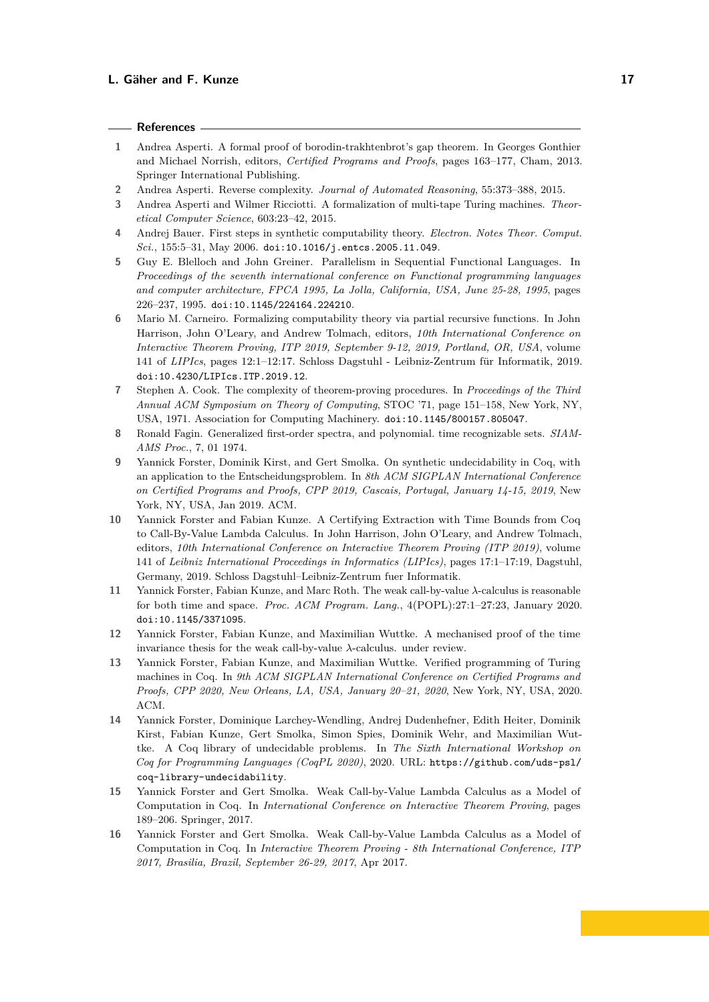#### **References**

- <span id="page-16-5"></span>**1** Andrea Asperti. A formal proof of borodin-trakhtenbrot's gap theorem. In Georges Gonthier and Michael Norrish, editors, *Certified Programs and Proofs*, pages 163–177, Cham, 2013. Springer International Publishing.
- <span id="page-16-4"></span>**2** Andrea Asperti. Reverse complexity. *Journal of Automated Reasoning*, 55:373–388, 2015.
- <span id="page-16-11"></span>**3** Andrea Asperti and Wilmer Ricciotti. A formalization of multi-tape Turing machines. *Theoretical Computer Science*, 603:23–42, 2015.
- <span id="page-16-3"></span>**4** Andrej Bauer. First steps in synthetic computability theory. *Electron. Notes Theor. Comput. Sci.*, 155:5–31, May 2006. [doi:10.1016/j.entcs.2005.11.049](https://doi.org/10.1016/j.entcs.2005.11.049).
- <span id="page-16-13"></span>**5** Guy E. Blelloch and John Greiner. Parallelism in Sequential Functional Languages. In *Proceedings of the seventh international conference on Functional programming languages and computer architecture, FPCA 1995, La Jolla, California, USA, June 25-28, 1995*, pages 226–237, 1995. [doi:10.1145/224164.224210](https://doi.org/10.1145/224164.224210).
- <span id="page-16-1"></span>**6** Mario M. Carneiro. Formalizing computability theory via partial recursive functions. In John Harrison, John O'Leary, and Andrew Tolmach, editors, *10th International Conference on Interactive Theorem Proving, ITP 2019, September 9-12, 2019, Portland, OR, USA*, volume 141 of *LIPIcs*, pages 12:1–12:17. Schloss Dagstuhl - Leibniz-Zentrum für Informatik, 2019. [doi:10.4230/LIPIcs.ITP.2019.12](https://doi.org/10.4230/LIPIcs.ITP.2019.12).
- <span id="page-16-9"></span>**7** Stephen A. Cook. The complexity of theorem-proving procedures. In *Proceedings of the Third Annual ACM Symposium on Theory of Computing*, STOC '71, page 151–158, New York, NY, USA, 1971. Association for Computing Machinery. [doi:10.1145/800157.805047](https://doi.org/10.1145/800157.805047).
- <span id="page-16-15"></span>**8** Ronald Fagin. Generalized first-order spectra, and polynomial. time recognizable sets. *SIAM-AMS Proc.*, 7, 01 1974.
- <span id="page-16-2"></span>**9** Yannick Forster, Dominik Kirst, and Gert Smolka. On synthetic undecidability in Coq, with an application to the Entscheidungsproblem. In *8th ACM SIGPLAN International Conference on Certified Programs and Proofs, CPP 2019, Cascais, Portugal, January 14-15, 2019*, New York, NY, USA, Jan 2019. ACM.
- <span id="page-16-7"></span>**10** Yannick Forster and Fabian Kunze. A Certifying Extraction with Time Bounds from Coq to Call-By-Value Lambda Calculus. In John Harrison, John O'Leary, and Andrew Tolmach, editors, *10th International Conference on Interactive Theorem Proving (ITP 2019)*, volume 141 of *Leibniz International Proceedings in Informatics (LIPIcs)*, pages 17:1–17:19, Dagstuhl, Germany, 2019. Schloss Dagstuhl–Leibniz-Zentrum fuer Informatik.
- <span id="page-16-8"></span>**11** Yannick Forster, Fabian Kunze, and Marc Roth. The weak call-by-value *λ*-calculus is reasonable for both time and space. *Proc. ACM Program. Lang.*, 4(POPL):27:1–27:23, January 2020. [doi:10.1145/3371095](https://doi.org/10.1145/3371095).
- <span id="page-16-10"></span>**12** Yannick Forster, Fabian Kunze, and Maximilian Wuttke. A mechanised proof of the time invariance thesis for the weak call-by-value *λ*-calculus. under review.
- <span id="page-16-6"></span>**13** Yannick Forster, Fabian Kunze, and Maximilian Wuttke. Verified programming of Turing machines in Coq. In *9th ACM SIGPLAN International Conference on Certified Programs and Proofs, CPP 2020, New Orleans, LA, USA, January 20–21, 2020*, New York, NY, USA, 2020. ACM.
- <span id="page-16-14"></span>**14** Yannick Forster, Dominique Larchey-Wendling, Andrej Dudenhefner, Edith Heiter, Dominik Kirst, Fabian Kunze, Gert Smolka, Simon Spies, Dominik Wehr, and Maximilian Wuttke. A Coq library of undecidable problems. In *The Sixth International Workshop on Coq for Programming Languages (CoqPL 2020)*, 2020. URL: [https://github.com/uds-psl/](https://github.com/uds-psl/coq-library-undecidability) [coq-library-undecidability](https://github.com/uds-psl/coq-library-undecidability).
- <span id="page-16-0"></span>**15** Yannick Forster and Gert Smolka. Weak Call-by-Value Lambda Calculus as a Model of Computation in Coq. In *International Conference on Interactive Theorem Proving*, pages 189–206. Springer, 2017.
- <span id="page-16-12"></span>**16** Yannick Forster and Gert Smolka. Weak Call-by-Value Lambda Calculus as a Model of Computation in Coq. In *Interactive Theorem Proving - 8th International Conference, ITP 2017, Brasilia, Brazil, September 26-29, 2017*, Apr 2017.